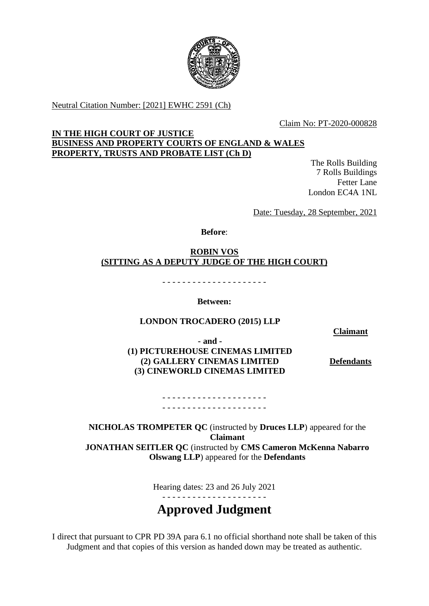

Neutral Citation Number: [2021] EWHC 2591 (Ch)

Claim No: PT-2020-000828

## **IN THE HIGH COURT OF JUSTICE BUSINESS AND PROPERTY COURTS OF ENGLAND & WALES PROPERTY, TRUSTS AND PROBATE LIST (Ch D)**

The Rolls Building 7 Rolls Buildings Fetter Lane London EC4A 1NL

Date: Tuesday, 28 September, 2021

**Before**:

**ROBIN VOS (SITTING AS A DEPUTY JUDGE OF THE HIGH COURT)**

- - - - - - - - - - - - - - - - - - - - -

**Between:**

# **LONDON TROCADERO (2015) LLP**

**Claimant**

**- and - (1) PICTUREHOUSE CINEMAS LIMITED (2) GALLERY CINEMAS LIMITED (3) CINEWORLD CINEMAS LIMITED**

**Defendants**

- - - - - - - - - - - - - - - - - - - - - - - - - - - - - - - - - - - - - - - - - -

**NICHOLAS TROMPETER QC** (instructed by **Druces LLP**) appeared for the **Claimant JONATHAN SEITLER QC** (instructed by **CMS Cameron McKenna Nabarro Olswang LLP**) appeared for the **Defendants**

Hearing dates: 23 and 26 July 2021

- - - - - - - - - - - - - - - - - - - - -

# **Approved Judgment**

I direct that pursuant to CPR PD 39A para 6.1 no official shorthand note shall be taken of this Judgment and that copies of this version as handed down may be treated as authentic.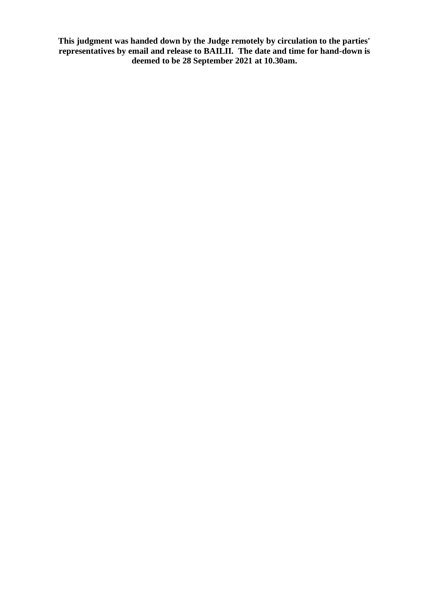**This judgment was handed down by the Judge remotely by circulation to the parties' representatives by email and release to BAILII. The date and time for hand-down is deemed to be 28 September 2021 at 10.30am.**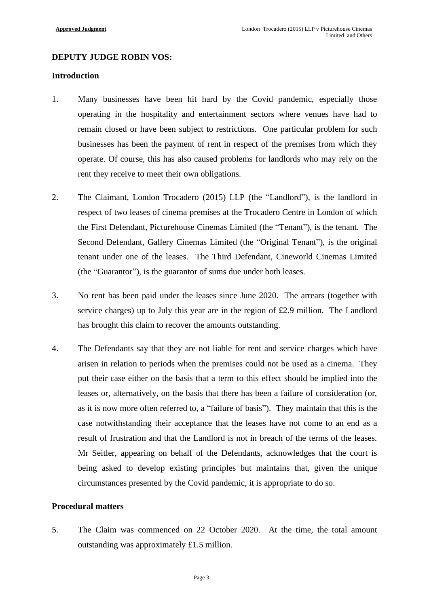## **DEPUTY JUDGE ROBIN VOS:**

## **Introduction**

- 1. Many businesses have been hit hard by the Covid pandemic, especially those operating in the hospitality and entertainment sectors where venues have had to remain closed or have been subject to restrictions. One particular problem for such businesses has been the payment of rent in respect of the premises from which they operate. Of course, this has also caused problems for landlords who may rely on the rent they receive to meet their own obligations.
- 2. The Claimant, London Trocadero (2015) LLP (the "Landlord"), is the landlord in respect of two leases of cinema premises at the Trocadero Centre in London of which the First Defendant, Picturehouse Cinemas Limited (the "Tenant"), is the tenant. The Second Defendant, Gallery Cinemas Limited (the "Original Tenant"), is the original tenant under one of the leases. The Third Defendant, Cineworld Cinemas Limited (the "Guarantor"), is the guarantor of sums due under both leases.
- 3. No rent has been paid under the leases since June 2020. The arrears (together with service charges) up to July this year are in the region of £2.9 million. The Landlord has brought this claim to recover the amounts outstanding.
- 4. The Defendants say that they are not liable for rent and service charges which have arisen in relation to periods when the premises could not be used as a cinema. They put their case either on the basis that a term to this effect should be implied into the leases or, alternatively, on the basis that there has been a failure of consideration (or, as it is now more often referred to, a "failure of basis"). They maintain that this is the case notwithstanding their acceptance that the leases have not come to an end as a result of frustration and that the Landlord is not in breach of the terms of the leases. Mr Seitler, appearing on behalf of the Defendants, acknowledges that the court is being asked to develop existing principles but maintains that, given the unique circumstances presented by the Covid pandemic, it is appropriate to do so.

# **Procedural matters**

5. The Claim was commenced on 22 October 2020. At the time, the total amount outstanding was approximately £1.5 million.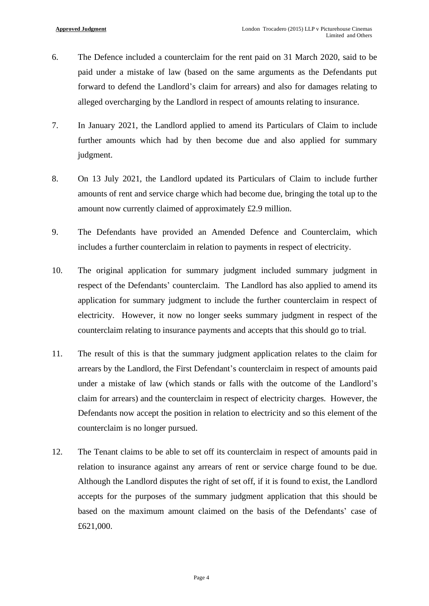- 6. The Defence included a counterclaim for the rent paid on 31 March 2020, said to be paid under a mistake of law (based on the same arguments as the Defendants put forward to defend the Landlord's claim for arrears) and also for damages relating to alleged overcharging by the Landlord in respect of amounts relating to insurance.
- 7. In January 2021, the Landlord applied to amend its Particulars of Claim to include further amounts which had by then become due and also applied for summary judgment.
- 8. On 13 July 2021, the Landlord updated its Particulars of Claim to include further amounts of rent and service charge which had become due, bringing the total up to the amount now currently claimed of approximately £2.9 million.
- 9. The Defendants have provided an Amended Defence and Counterclaim, which includes a further counterclaim in relation to payments in respect of electricity.
- 10. The original application for summary judgment included summary judgment in respect of the Defendants' counterclaim. The Landlord has also applied to amend its application for summary judgment to include the further counterclaim in respect of electricity. However, it now no longer seeks summary judgment in respect of the counterclaim relating to insurance payments and accepts that this should go to trial.
- 11. The result of this is that the summary judgment application relates to the claim for arrears by the Landlord, the First Defendant's counterclaim in respect of amounts paid under a mistake of law (which stands or falls with the outcome of the Landlord's claim for arrears) and the counterclaim in respect of electricity charges. However, the Defendants now accept the position in relation to electricity and so this element of the counterclaim is no longer pursued.
- 12. The Tenant claims to be able to set off its counterclaim in respect of amounts paid in relation to insurance against any arrears of rent or service charge found to be due. Although the Landlord disputes the right of set off, if it is found to exist, the Landlord accepts for the purposes of the summary judgment application that this should be based on the maximum amount claimed on the basis of the Defendants' case of £621,000.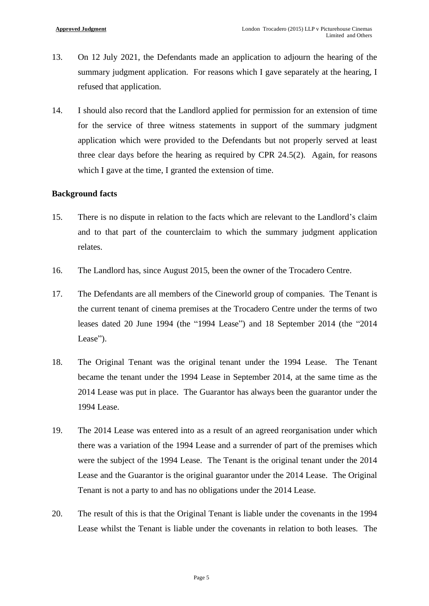- 13. On 12 July 2021, the Defendants made an application to adjourn the hearing of the summary judgment application. For reasons which I gave separately at the hearing, I refused that application.
- 14. I should also record that the Landlord applied for permission for an extension of time for the service of three witness statements in support of the summary judgment application which were provided to the Defendants but not properly served at least three clear days before the hearing as required by CPR 24.5(2). Again, for reasons which I gave at the time, I granted the extension of time.

## **Background facts**

- 15. There is no dispute in relation to the facts which are relevant to the Landlord's claim and to that part of the counterclaim to which the summary judgment application relates.
- 16. The Landlord has, since August 2015, been the owner of the Trocadero Centre.
- 17. The Defendants are all members of the Cineworld group of companies. The Tenant is the current tenant of cinema premises at the Trocadero Centre under the terms of two leases dated 20 June 1994 (the "1994 Lease") and 18 September 2014 (the "2014 Lease").
- 18. The Original Tenant was the original tenant under the 1994 Lease. The Tenant became the tenant under the 1994 Lease in September 2014, at the same time as the 2014 Lease was put in place. The Guarantor has always been the guarantor under the 1994 Lease.
- 19. The 2014 Lease was entered into as a result of an agreed reorganisation under which there was a variation of the 1994 Lease and a surrender of part of the premises which were the subject of the 1994 Lease. The Tenant is the original tenant under the 2014 Lease and the Guarantor is the original guarantor under the 2014 Lease. The Original Tenant is not a party to and has no obligations under the 2014 Lease.
- 20. The result of this is that the Original Tenant is liable under the covenants in the 1994 Lease whilst the Tenant is liable under the covenants in relation to both leases. The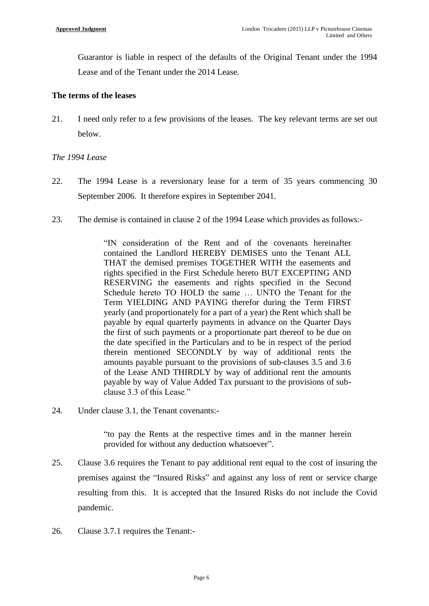Guarantor is liable in respect of the defaults of the Original Tenant under the 1994 Lease and of the Tenant under the 2014 Lease.

## **The terms of the leases**

21. I need only refer to a few provisions of the leases. The key relevant terms are set out below.

# *The 1994 Lease*

- 22. The 1994 Lease is a reversionary lease for a term of 35 years commencing 30 September 2006. It therefore expires in September 2041.
- 23. The demise is contained in clause 2 of the 1994 Lease which provides as follows:-

"IN consideration of the Rent and of the covenants hereinafter contained the Landlord HEREBY DEMISES unto the Tenant ALL THAT the demised premises TOGETHER WITH the easements and rights specified in the First Schedule hereto BUT EXCEPTING AND RESERVING the easements and rights specified in the Second Schedule hereto TO HOLD the same … UNTO the Tenant for the Term YIELDING AND PAYING therefor during the Term FIRST yearly (and proportionately for a part of a year) the Rent which shall be payable by equal quarterly payments in advance on the Quarter Days the first of such payments or a proportionate part thereof to be due on the date specified in the Particulars and to be in respect of the period therein mentioned SECONDLY by way of additional rents the amounts payable pursuant to the provisions of sub-clauses 3.5 and 3.6 of the Lease AND THIRDLY by way of additional rent the amounts payable by way of Value Added Tax pursuant to the provisions of subclause 3.3 of this Lease."

24. Under clause 3.1, the Tenant covenants:-

"to pay the Rents at the respective times and in the manner herein provided for without any deduction whatsoever".

- 25. Clause 3.6 requires the Tenant to pay additional rent equal to the cost of insuring the premises against the "Insured Risks" and against any loss of rent or service charge resulting from this. It is accepted that the Insured Risks do not include the Covid pandemic.
- 26. Clause 3.7.1 requires the Tenant:-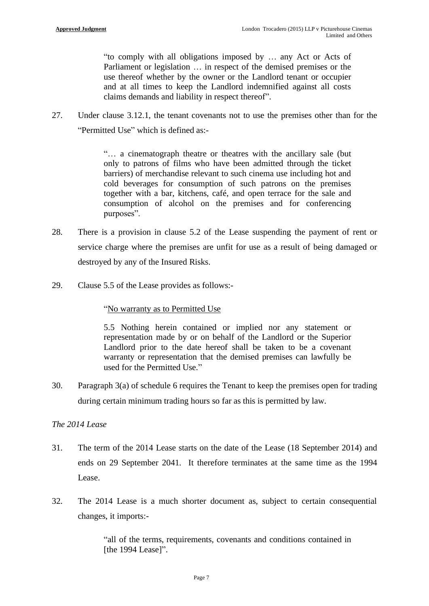"to comply with all obligations imposed by … any Act or Acts of Parliament or legislation … in respect of the demised premises or the use thereof whether by the owner or the Landlord tenant or occupier and at all times to keep the Landlord indemnified against all costs claims demands and liability in respect thereof".

27. Under clause 3.12.1, the tenant covenants not to use the premises other than for the "Permitted Use" which is defined as:-

> "… a cinematograph theatre or theatres with the ancillary sale (but only to patrons of films who have been admitted through the ticket barriers) of merchandise relevant to such cinema use including hot and cold beverages for consumption of such patrons on the premises together with a bar, kitchens, café, and open terrace for the sale and consumption of alcohol on the premises and for conferencing purposes".

- 28. There is a provision in clause 5.2 of the Lease suspending the payment of rent or service charge where the premises are unfit for use as a result of being damaged or destroyed by any of the Insured Risks.
- 29. Clause 5.5 of the Lease provides as follows:-

"No warranty as to Permitted Use

5.5 Nothing herein contained or implied nor any statement or representation made by or on behalf of the Landlord or the Superior Landlord prior to the date hereof shall be taken to be a covenant warranty or representation that the demised premises can lawfully be used for the Permitted Use."

30. Paragraph 3(a) of schedule 6 requires the Tenant to keep the premises open for trading during certain minimum trading hours so far as this is permitted by law.

# *The 2014 Lease*

- 31. The term of the 2014 Lease starts on the date of the Lease (18 September 2014) and ends on 29 September 2041. It therefore terminates at the same time as the 1994 Lease.
- 32. The 2014 Lease is a much shorter document as, subject to certain consequential changes, it imports:-

"all of the terms, requirements, covenants and conditions contained in [the 1994 Lease]".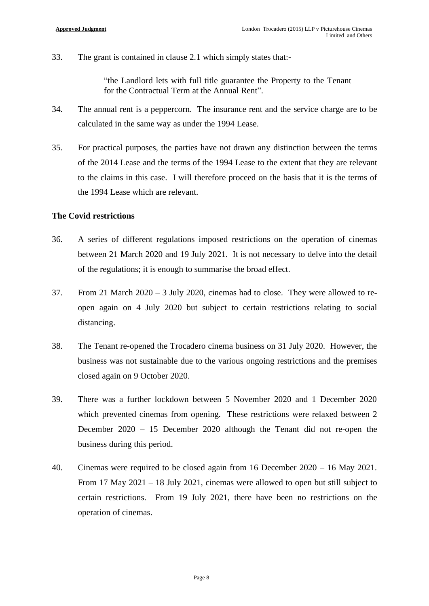33. The grant is contained in clause 2.1 which simply states that:-

"the Landlord lets with full title guarantee the Property to the Tenant for the Contractual Term at the Annual Rent".

- 34. The annual rent is a peppercorn. The insurance rent and the service charge are to be calculated in the same way as under the 1994 Lease.
- 35. For practical purposes, the parties have not drawn any distinction between the terms of the 2014 Lease and the terms of the 1994 Lease to the extent that they are relevant to the claims in this case. I will therefore proceed on the basis that it is the terms of the 1994 Lease which are relevant.

## **The Covid restrictions**

- 36. A series of different regulations imposed restrictions on the operation of cinemas between 21 March 2020 and 19 July 2021. It is not necessary to delve into the detail of the regulations; it is enough to summarise the broad effect.
- 37. From 21 March 2020 3 July 2020, cinemas had to close. They were allowed to reopen again on 4 July 2020 but subject to certain restrictions relating to social distancing.
- 38. The Tenant re-opened the Trocadero cinema business on 31 July 2020. However, the business was not sustainable due to the various ongoing restrictions and the premises closed again on 9 October 2020.
- 39. There was a further lockdown between 5 November 2020 and 1 December 2020 which prevented cinemas from opening. These restrictions were relaxed between 2 December 2020 – 15 December 2020 although the Tenant did not re-open the business during this period.
- 40. Cinemas were required to be closed again from 16 December 2020 16 May 2021. From 17 May 2021 – 18 July 2021, cinemas were allowed to open but still subject to certain restrictions. From 19 July 2021, there have been no restrictions on the operation of cinemas.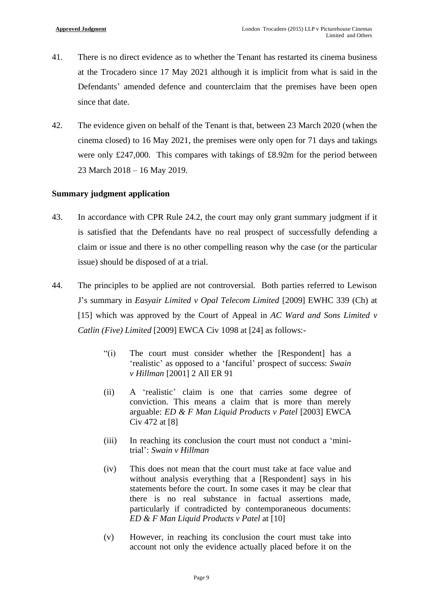- 41. There is no direct evidence as to whether the Tenant has restarted its cinema business at the Trocadero since 17 May 2021 although it is implicit from what is said in the Defendants' amended defence and counterclaim that the premises have been open since that date.
- 42. The evidence given on behalf of the Tenant is that, between 23 March 2020 (when the cinema closed) to 16 May 2021, the premises were only open for 71 days and takings were only £247,000. This compares with takings of £8.92m for the period between 23 March 2018 – 16 May 2019.

## **Summary judgment application**

- 43. In accordance with CPR Rule 24.2, the court may only grant summary judgment if it is satisfied that the Defendants have no real prospect of successfully defending a claim or issue and there is no other compelling reason why the case (or the particular issue) should be disposed of at a trial.
- 44. The principles to be applied are not controversial. Both parties referred to Lewison J's summary in *Easyair Limited v Opal Telecom Limited* [2009] EWHC 339 (Ch) at [15] which was approved by the Court of Appeal in *AC Ward and Sons Limited v Catlin (Five) Limited* [2009] EWCA Civ 1098 at [24] as follows:-
	- "(i) The court must consider whether the [Respondent] has a 'realistic' as opposed to a 'fanciful' prospect of success: *Swain v Hillman* [2001] 2 All ER 91
	- (ii) A 'realistic' claim is one that carries some degree of conviction. This means a claim that is more than merely arguable: *ED & F Man Liquid Products v Patel* [2003] EWCA Civ 472 at [8]
	- (iii) In reaching its conclusion the court must not conduct a 'minitrial': *Swain v Hillman*
	- (iv) This does not mean that the court must take at face value and without analysis everything that a [Respondent] says in his statements before the court. In some cases it may be clear that there is no real substance in factual assertions made, particularly if contradicted by contemporaneous documents: *ED & F Man Liquid Products v Patel* at [10]
	- (v) However, in reaching its conclusion the court must take into account not only the evidence actually placed before it on the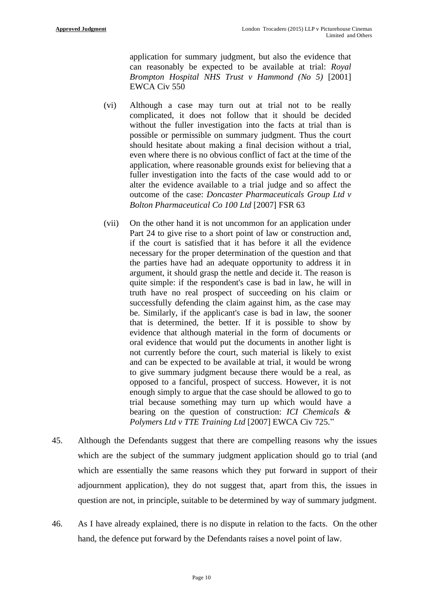application for summary judgment, but also the evidence that can reasonably be expected to be available at trial: *Royal Brompton Hospital NHS Trust v Hammond (No 5)* [2001] EWCA Civ 550

- (vi) Although a case may turn out at trial not to be really complicated, it does not follow that it should be decided without the fuller investigation into the facts at trial than is possible or permissible on summary judgment. Thus the court should hesitate about making a final decision without a trial, even where there is no obvious conflict of fact at the time of the application, where reasonable grounds exist for believing that a fuller investigation into the facts of the case would add to or alter the evidence available to a trial judge and so affect the outcome of the case: *Doncaster Pharmaceuticals Group Ltd v Bolton Pharmaceutical Co 100 Ltd* [2007] FSR 63
- (vii) On the other hand it is not uncommon for an application under Part 24 to give rise to a short point of law or construction and, if the court is satisfied that it has before it all the evidence necessary for the proper determination of the question and that the parties have had an adequate opportunity to address it in argument, it should grasp the nettle and decide it. The reason is quite simple: if the respondent's case is bad in law, he will in truth have no real prospect of succeeding on his claim or successfully defending the claim against him, as the case may be. Similarly, if the applicant's case is bad in law, the sooner that is determined, the better. If it is possible to show by evidence that although material in the form of documents or oral evidence that would put the documents in another light is not currently before the court, such material is likely to exist and can be expected to be available at trial, it would be wrong to give summary judgment because there would be a real, as opposed to a fanciful, prospect of success. However, it is not enough simply to argue that the case should be allowed to go to trial because something may turn up which would have a bearing on the question of construction: *ICI Chemicals & Polymers Ltd v TTE Training Ltd* [2007] EWCA Civ 725."
- 45. Although the Defendants suggest that there are compelling reasons why the issues which are the subject of the summary judgment application should go to trial (and which are essentially the same reasons which they put forward in support of their adjournment application), they do not suggest that, apart from this, the issues in question are not, in principle, suitable to be determined by way of summary judgment.
- 46. As I have already explained, there is no dispute in relation to the facts. On the other hand, the defence put forward by the Defendants raises a novel point of law.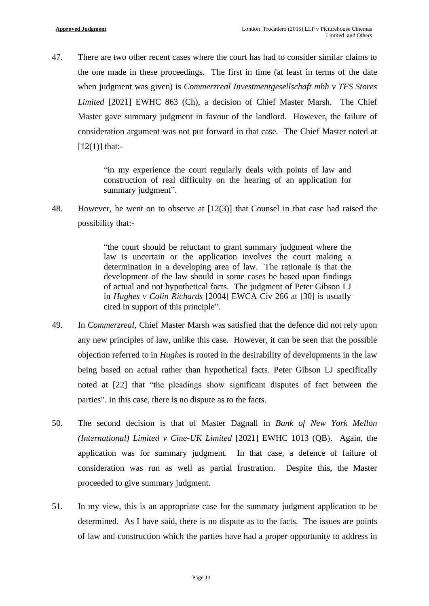47. There are two other recent cases where the court has had to consider similar claims to the one made in these proceedings. The first in time (at least in terms of the date when judgment was given) is *Commerzreal Investmentgesellschaft mbh v TFS Stores Limited* [2021] EWHC 863 (Ch), a decision of Chief Master Marsh. The Chief Master gave summary judgment in favour of the landlord. However, the failure of consideration argument was not put forward in that case. The Chief Master noted at  $[12(1)]$  that:-

> "in my experience the court regularly deals with points of law and construction of real difficulty on the hearing of an application for summary judgment".

48. However, he went on to observe at [12(3)] that Counsel in that case had raised the possibility that:-

> "the court should be reluctant to grant summary judgment where the law is uncertain or the application involves the court making a determination in a developing area of law. The rationale is that the development of the law should in some cases be based upon findings of actual and not hypothetical facts. The judgment of Peter Gibson LJ in *Hughes v Colin Richards* [2004] EWCA Civ 266 at [30] is usually cited in support of this principle".

- 49. In *Commerzreal*, Chief Master Marsh was satisfied that the defence did not rely upon any new principles of law, unlike this case. However, it can be seen that the possible objection referred to in *Hughes* is rooted in the desirability of developments in the law being based on actual rather than hypothetical facts. Peter Gibson LJ specifically noted at [22] that "the pleadings show significant disputes of fact between the parties". In this case, there is no dispute as to the facts.
- 50. The second decision is that of Master Dagnall in *Bank of New York Mellon (International) Limited v Cine-UK Limited* [2021] EWHC 1013 (QB). Again, the application was for summary judgment. In that case, a defence of failure of consideration was run as well as partial frustration. Despite this, the Master proceeded to give summary judgment.
- 51. In my view, this is an appropriate case for the summary judgment application to be determined. As I have said, there is no dispute as to the facts. The issues are points of law and construction which the parties have had a proper opportunity to address in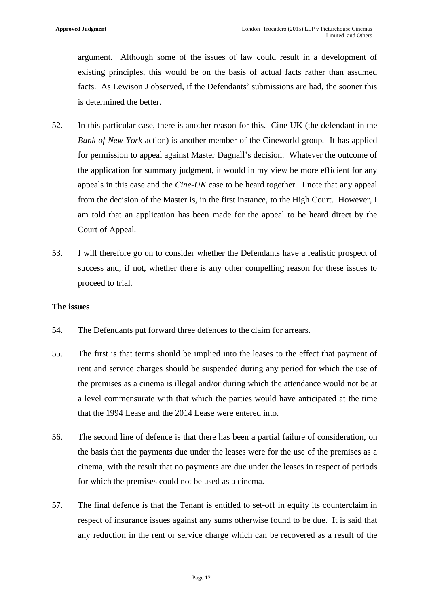argument. Although some of the issues of law could result in a development of existing principles, this would be on the basis of actual facts rather than assumed facts. As Lewison J observed, if the Defendants' submissions are bad, the sooner this is determined the better.

- 52. In this particular case, there is another reason for this. Cine-UK (the defendant in the *Bank of New York* action) is another member of the Cineworld group. It has applied for permission to appeal against Master Dagnall's decision. Whatever the outcome of the application for summary judgment, it would in my view be more efficient for any appeals in this case and the *Cine-UK* case to be heard together. I note that any appeal from the decision of the Master is, in the first instance, to the High Court. However, I am told that an application has been made for the appeal to be heard direct by the Court of Appeal.
- 53. I will therefore go on to consider whether the Defendants have a realistic prospect of success and, if not, whether there is any other compelling reason for these issues to proceed to trial.

#### **The issues**

- 54. The Defendants put forward three defences to the claim for arrears.
- 55. The first is that terms should be implied into the leases to the effect that payment of rent and service charges should be suspended during any period for which the use of the premises as a cinema is illegal and/or during which the attendance would not be at a level commensurate with that which the parties would have anticipated at the time that the 1994 Lease and the 2014 Lease were entered into.
- 56. The second line of defence is that there has been a partial failure of consideration, on the basis that the payments due under the leases were for the use of the premises as a cinema, with the result that no payments are due under the leases in respect of periods for which the premises could not be used as a cinema.
- 57. The final defence is that the Tenant is entitled to set-off in equity its counterclaim in respect of insurance issues against any sums otherwise found to be due. It is said that any reduction in the rent or service charge which can be recovered as a result of the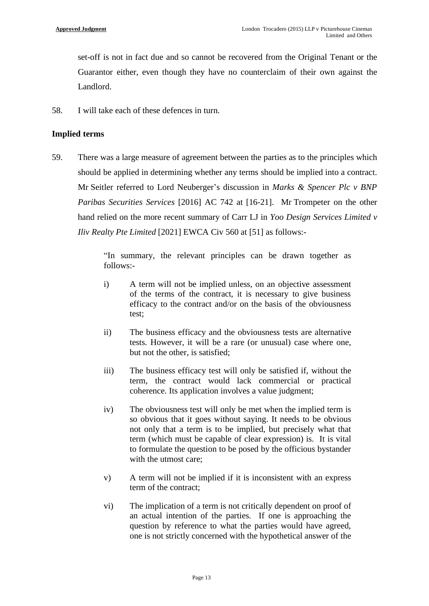set-off is not in fact due and so cannot be recovered from the Original Tenant or the Guarantor either, even though they have no counterclaim of their own against the Landlord.

58. I will take each of these defences in turn.

## **Implied terms**

59. There was a large measure of agreement between the parties as to the principles which should be applied in determining whether any terms should be implied into a contract. Mr Seitler referred to Lord Neuberger's discussion in *Marks & Spencer Plc v BNP Paribas Securities Services* [2016] AC 742 at [16-21]. Mr Trompeter on the other hand relied on the more recent summary of Carr LJ in *Yoo Design Services Limited v Iliv Realty Pte Limited* [2021] EWCA Civ 560 at [51] as follows:-

> "In summary, the relevant principles can be drawn together as follows:-

- i) A term will not be implied unless, on an objective assessment of the terms of the contract, it is necessary to give business efficacy to the contract and/or on the basis of the obviousness test;
- ii) The business efficacy and the obviousness tests are alternative tests. However, it will be a rare (or unusual) case where one, but not the other, is satisfied;
- iii) The business efficacy test will only be satisfied if, without the term, the contract would lack commercial or practical coherence. Its application involves a value judgment;
- iv) The obviousness test will only be met when the implied term is so obvious that it goes without saying. It needs to be obvious not only that a term is to be implied, but precisely what that term (which must be capable of clear expression) is. It is vital to formulate the question to be posed by the officious bystander with the utmost care;
- v) A term will not be implied if it is inconsistent with an express term of the contract;
- vi) The implication of a term is not critically dependent on proof of an actual intention of the parties. If one is approaching the question by reference to what the parties would have agreed, one is not strictly concerned with the hypothetical answer of the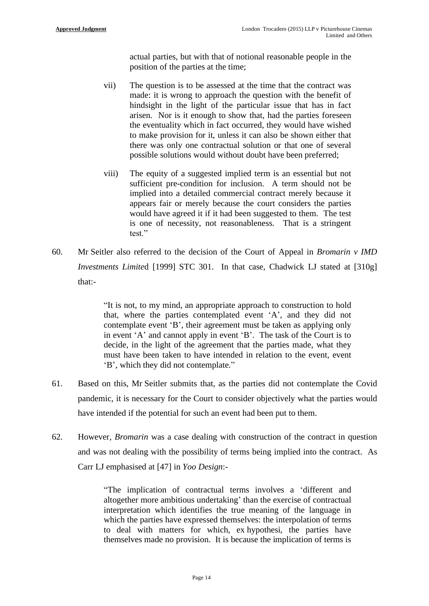actual parties, but with that of notional reasonable people in the position of the parties at the time;

- vii) The question is to be assessed at the time that the contract was made: it is wrong to approach the question with the benefit of hindsight in the light of the particular issue that has in fact arisen. Nor is it enough to show that, had the parties foreseen the eventuality which in fact occurred, they would have wished to make provision for it, unless it can also be shown either that there was only one contractual solution or that one of several possible solutions would without doubt have been preferred;
- viii) The equity of a suggested implied term is an essential but not sufficient pre-condition for inclusion. A term should not be implied into a detailed commercial contract merely because it appears fair or merely because the court considers the parties would have agreed it if it had been suggested to them. The test is one of necessity, not reasonableness. That is a stringent test."
- 60. Mr Seitler also referred to the decision of the Court of Appeal in *Bromarin v IMD Investments Limited* [1999] STC 301. In that case, Chadwick LJ stated at [310g] that:-

"It is not, to my mind, an appropriate approach to construction to hold that, where the parties contemplated event 'A', and they did not contemplate event 'B', their agreement must be taken as applying only in event 'A' and cannot apply in event 'B'. The task of the Court is to decide, in the light of the agreement that the parties made, what they must have been taken to have intended in relation to the event, event 'B', which they did not contemplate."

- 61. Based on this, Mr Seitler submits that, as the parties did not contemplate the Covid pandemic, it is necessary for the Court to consider objectively what the parties would have intended if the potential for such an event had been put to them.
- 62. However, *Bromarin* was a case dealing with construction of the contract in question and was not dealing with the possibility of terms being implied into the contract. As Carr LJ emphasised at [47] in *Yoo Design*:-

"The implication of contractual terms involves a 'different and altogether more ambitious undertaking' than the exercise of contractual interpretation which identifies the true meaning of the language in which the parties have expressed themselves: the interpolation of terms to deal with matters for which, ex hypothesi, the parties have themselves made no provision. It is because the implication of terms is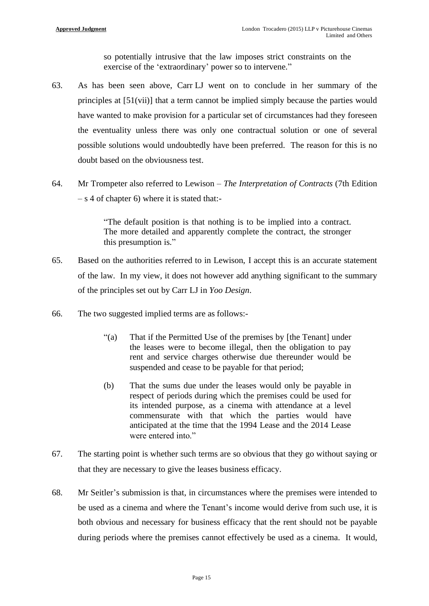so potentially intrusive that the law imposes strict constraints on the exercise of the 'extraordinary' power so to intervene."

- 63. As has been seen above, Carr LJ went on to conclude in her summary of the principles at [51(vii)] that a term cannot be implied simply because the parties would have wanted to make provision for a particular set of circumstances had they foreseen the eventuality unless there was only one contractual solution or one of several possible solutions would undoubtedly have been preferred. The reason for this is no doubt based on the obviousness test.
- 64. Mr Trompeter also referred to Lewison *The Interpretation of Contracts* (7th Edition  $-$  s 4 of chapter 6) where it is stated that:-

"The default position is that nothing is to be implied into a contract. The more detailed and apparently complete the contract, the stronger this presumption is."

- 65. Based on the authorities referred to in Lewison, I accept this is an accurate statement of the law. In my view, it does not however add anything significant to the summary of the principles set out by Carr LJ in *Yoo Design*.
- 66. The two suggested implied terms are as follows:-
	- "(a) That if the Permitted Use of the premises by [the Tenant] under the leases were to become illegal, then the obligation to pay rent and service charges otherwise due thereunder would be suspended and cease to be payable for that period;
	- (b) That the sums due under the leases would only be payable in respect of periods during which the premises could be used for its intended purpose, as a cinema with attendance at a level commensurate with that which the parties would have anticipated at the time that the 1994 Lease and the 2014 Lease were entered into."
- 67. The starting point is whether such terms are so obvious that they go without saying or that they are necessary to give the leases business efficacy.
- 68. Mr Seitler's submission is that, in circumstances where the premises were intended to be used as a cinema and where the Tenant's income would derive from such use, it is both obvious and necessary for business efficacy that the rent should not be payable during periods where the premises cannot effectively be used as a cinema. It would,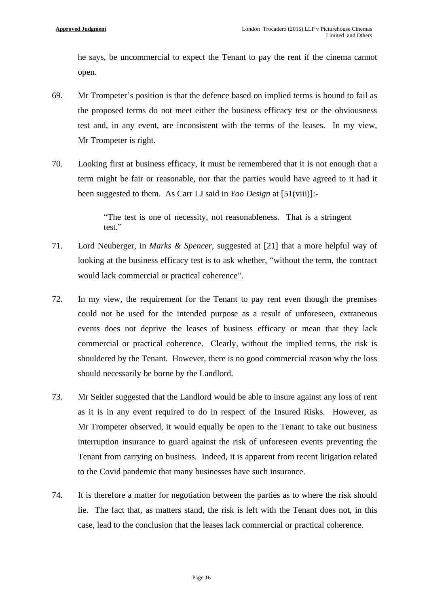he says, be uncommercial to expect the Tenant to pay the rent if the cinema cannot open.

- 69. Mr Trompeter's position is that the defence based on implied terms is bound to fail as the proposed terms do not meet either the business efficacy test or the obviousness test and, in any event, are inconsistent with the terms of the leases. In my view, Mr Trompeter is right.
- 70. Looking first at business efficacy, it must be remembered that it is not enough that a term might be fair or reasonable, nor that the parties would have agreed to it had it been suggested to them. As Carr LJ said in *Yoo Design* at [51(viii)]:-

"The test is one of necessity, not reasonableness. That is a stringent test."

- 71. Lord Neuberger, in *Marks & Spencer*, suggested at [21] that a more helpful way of looking at the business efficacy test is to ask whether, "without the term, the contract would lack commercial or practical coherence".
- 72. In my view, the requirement for the Tenant to pay rent even though the premises could not be used for the intended purpose as a result of unforeseen, extraneous events does not deprive the leases of business efficacy or mean that they lack commercial or practical coherence. Clearly, without the implied terms, the risk is shouldered by the Tenant. However, there is no good commercial reason why the loss should necessarily be borne by the Landlord.
- 73. Mr Seitler suggested that the Landlord would be able to insure against any loss of rent as it is in any event required to do in respect of the Insured Risks. However, as Mr Trompeter observed, it would equally be open to the Tenant to take out business interruption insurance to guard against the risk of unforeseen events preventing the Tenant from carrying on business. Indeed, it is apparent from recent litigation related to the Covid pandemic that many businesses have such insurance.
- 74. It is therefore a matter for negotiation between the parties as to where the risk should lie. The fact that, as matters stand, the risk is left with the Tenant does not, in this case, lead to the conclusion that the leases lack commercial or practical coherence.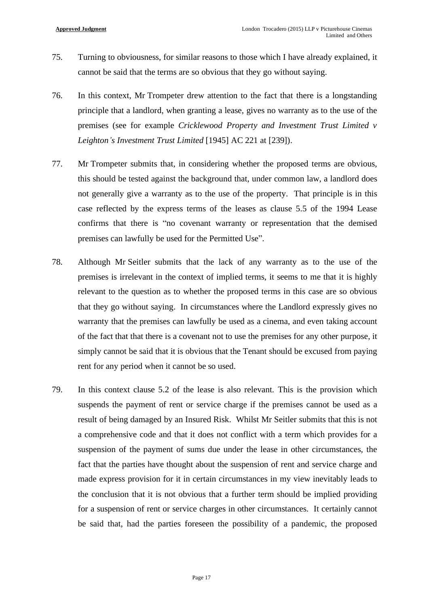- 75. Turning to obviousness, for similar reasons to those which I have already explained, it cannot be said that the terms are so obvious that they go without saying.
- 76. In this context, Mr Trompeter drew attention to the fact that there is a longstanding principle that a landlord, when granting a lease, gives no warranty as to the use of the premises (see for example *Cricklewood Property and Investment Trust Limited v Leighton's Investment Trust Limited* [1945] AC 221 at [239]).
- 77. Mr Trompeter submits that, in considering whether the proposed terms are obvious, this should be tested against the background that, under common law, a landlord does not generally give a warranty as to the use of the property. That principle is in this case reflected by the express terms of the leases as clause 5.5 of the 1994 Lease confirms that there is "no covenant warranty or representation that the demised premises can lawfully be used for the Permitted Use".
- 78. Although Mr Seitler submits that the lack of any warranty as to the use of the premises is irrelevant in the context of implied terms, it seems to me that it is highly relevant to the question as to whether the proposed terms in this case are so obvious that they go without saying. In circumstances where the Landlord expressly gives no warranty that the premises can lawfully be used as a cinema, and even taking account of the fact that that there is a covenant not to use the premises for any other purpose, it simply cannot be said that it is obvious that the Tenant should be excused from paying rent for any period when it cannot be so used.
- 79. In this context clause 5.2 of the lease is also relevant. This is the provision which suspends the payment of rent or service charge if the premises cannot be used as a result of being damaged by an Insured Risk. Whilst Mr Seitler submits that this is not a comprehensive code and that it does not conflict with a term which provides for a suspension of the payment of sums due under the lease in other circumstances, the fact that the parties have thought about the suspension of rent and service charge and made express provision for it in certain circumstances in my view inevitably leads to the conclusion that it is not obvious that a further term should be implied providing for a suspension of rent or service charges in other circumstances. It certainly cannot be said that, had the parties foreseen the possibility of a pandemic, the proposed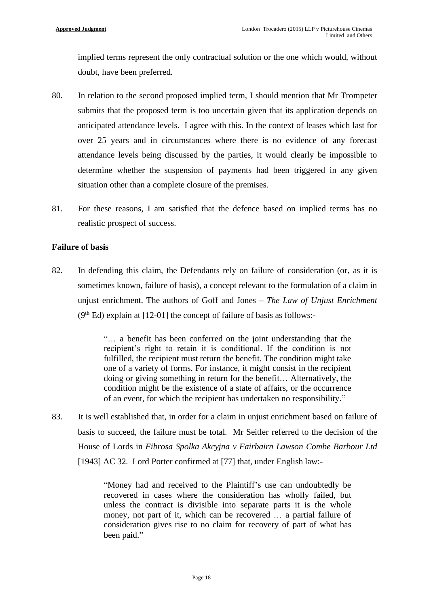implied terms represent the only contractual solution or the one which would, without doubt, have been preferred.

- 80. In relation to the second proposed implied term, I should mention that Mr Trompeter submits that the proposed term is too uncertain given that its application depends on anticipated attendance levels. I agree with this. In the context of leases which last for over 25 years and in circumstances where there is no evidence of any forecast attendance levels being discussed by the parties, it would clearly be impossible to determine whether the suspension of payments had been triggered in any given situation other than a complete closure of the premises.
- 81. For these reasons, I am satisfied that the defence based on implied terms has no realistic prospect of success.

## **Failure of basis**

82. In defending this claim, the Defendants rely on failure of consideration (or, as it is sometimes known, failure of basis), a concept relevant to the formulation of a claim in unjust enrichment. The authors of Goff and Jones – *The Law of Unjust Enrichment*  $(9<sup>th</sup> Ed)$  explain at [12-01] the concept of failure of basis as follows:-

> "… a benefit has been conferred on the joint understanding that the recipient's right to retain it is conditional. If the condition is not fulfilled, the recipient must return the benefit. The condition might take one of a variety of forms. For instance, it might consist in the recipient doing or giving something in return for the benefit… Alternatively, the condition might be the existence of a state of affairs, or the occurrence of an event, for which the recipient has undertaken no responsibility."

83. It is well established that, in order for a claim in unjust enrichment based on failure of basis to succeed, the failure must be total. Mr Seitler referred to the decision of the House of Lords in *Fibrosa Spolka Akcyjna v Fairbairn Lawson Combe Barbour Ltd* [1943] AC 32. Lord Porter confirmed at [77] that, under English law:-

> "Money had and received to the Plaintiff's use can undoubtedly be recovered in cases where the consideration has wholly failed, but unless the contract is divisible into separate parts it is the whole money, not part of it, which can be recovered … a partial failure of consideration gives rise to no claim for recovery of part of what has been paid."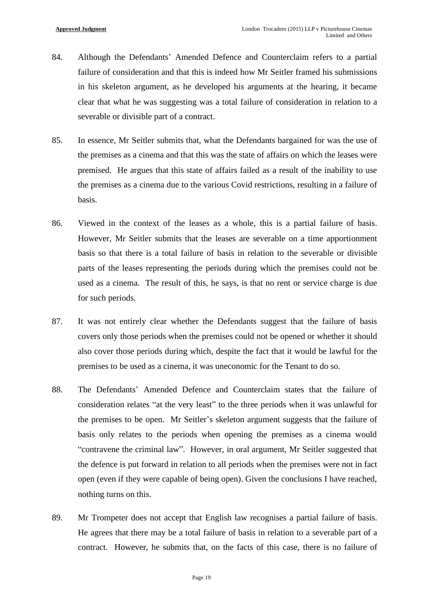- 84. Although the Defendants' Amended Defence and Counterclaim refers to a partial failure of consideration and that this is indeed how Mr Seitler framed his submissions in his skeleton argument, as he developed his arguments at the hearing, it became clear that what he was suggesting was a total failure of consideration in relation to a severable or divisible part of a contract.
- 85. In essence, Mr Seitler submits that, what the Defendants bargained for was the use of the premises as a cinema and that this was the state of affairs on which the leases were premised. He argues that this state of affairs failed as a result of the inability to use the premises as a cinema due to the various Covid restrictions, resulting in a failure of basis.
- 86. Viewed in the context of the leases as a whole, this is a partial failure of basis. However, Mr Seitler submits that the leases are severable on a time apportionment basis so that there is a total failure of basis in relation to the severable or divisible parts of the leases representing the periods during which the premises could not be used as a cinema. The result of this, he says, is that no rent or service charge is due for such periods.
- 87. It was not entirely clear whether the Defendants suggest that the failure of basis covers only those periods when the premises could not be opened or whether it should also cover those periods during which, despite the fact that it would be lawful for the premises to be used as a cinema, it was uneconomic for the Tenant to do so.
- 88. The Defendants' Amended Defence and Counterclaim states that the failure of consideration relates "at the very least" to the three periods when it was unlawful for the premises to be open. Mr Seitler's skeleton argument suggests that the failure of basis only relates to the periods when opening the premises as a cinema would "contravene the criminal law". However, in oral argument, Mr Seitler suggested that the defence is put forward in relation to all periods when the premises were not in fact open (even if they were capable of being open). Given the conclusions I have reached, nothing turns on this.
- 89. Mr Trompeter does not accept that English law recognises a partial failure of basis. He agrees that there may be a total failure of basis in relation to a severable part of a contract. However, he submits that, on the facts of this case, there is no failure of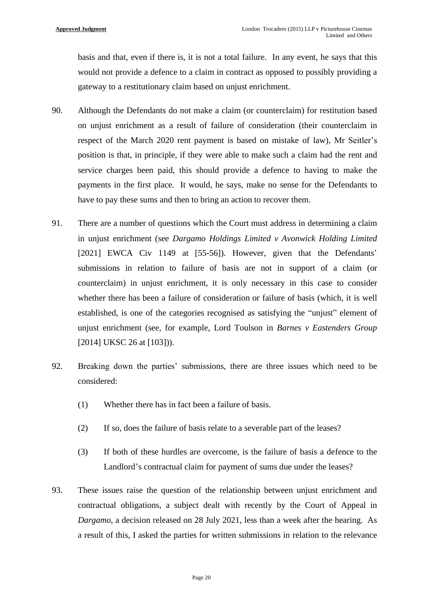basis and that, even if there is, it is not a total failure. In any event, he says that this would not provide a defence to a claim in contract as opposed to possibly providing a gateway to a restitutionary claim based on unjust enrichment.

- 90. Although the Defendants do not make a claim (or counterclaim) for restitution based on unjust enrichment as a result of failure of consideration (their counterclaim in respect of the March 2020 rent payment is based on mistake of law), Mr Seitler's position is that, in principle, if they were able to make such a claim had the rent and service charges been paid, this should provide a defence to having to make the payments in the first place. It would, he says, make no sense for the Defendants to have to pay these sums and then to bring an action to recover them.
- 91. There are a number of questions which the Court must address in determining a claim in unjust enrichment (see *Dargamo Holdings Limited v Avonwick Holding Limited* [2021] EWCA Civ 1149 at [55-56]). However, given that the Defendants' submissions in relation to failure of basis are not in support of a claim (or counterclaim) in unjust enrichment, it is only necessary in this case to consider whether there has been a failure of consideration or failure of basis (which, it is well established, is one of the categories recognised as satisfying the "unjust" element of unjust enrichment (see, for example, Lord Toulson in *Barnes v Eastenders Group* [2014] UKSC 26 at [103])).
- 92. Breaking down the parties' submissions, there are three issues which need to be considered:
	- (1) Whether there has in fact been a failure of basis.
	- (2) If so, does the failure of basis relate to a severable part of the leases?
	- (3) If both of these hurdles are overcome, is the failure of basis a defence to the Landlord's contractual claim for payment of sums due under the leases?
- 93. These issues raise the question of the relationship between unjust enrichment and contractual obligations, a subject dealt with recently by the Court of Appeal in *Dargamo*, a decision released on 28 July 2021, less than a week after the hearing. As a result of this, I asked the parties for written submissions in relation to the relevance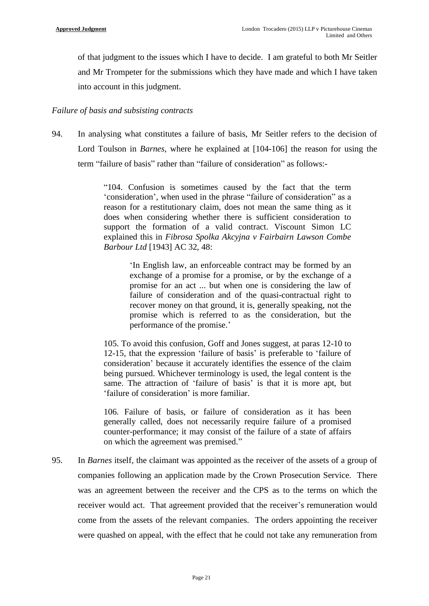of that judgment to the issues which I have to decide. I am grateful to both Mr Seitler and Mr Trompeter for the submissions which they have made and which I have taken into account in this judgment.

## *Failure of basis and subsisting contracts*

94. In analysing what constitutes a failure of basis, Mr Seitler refers to the decision of Lord Toulson in *Barnes*, where he explained at [104-106] the reason for using the term "failure of basis" rather than "failure of consideration" as follows:-

> "104. Confusion is sometimes caused by the fact that the term 'consideration', when used in the phrase "failure of consideration" as a reason for a restitutionary claim, does not mean the same thing as it does when considering whether there is sufficient consideration to support the formation of a valid contract. Viscount Simon LC explained this in *Fibrosa Spolka Akcyjna v Fairbairn Lawson Combe Barbour Ltd* [1943] AC 32, 48:

> > 'In English law, an enforceable contract may be formed by an exchange of a promise for a promise, or by the exchange of a promise for an act ... but when one is considering the law of failure of consideration and of the quasi-contractual right to recover money on that ground, it is, generally speaking, not the promise which is referred to as the consideration, but the performance of the promise.'

105. To avoid this confusion, Goff and Jones suggest, at paras 12-10 to 12-15, that the expression 'failure of basis' is preferable to 'failure of consideration' because it accurately identifies the essence of the claim being pursued. Whichever terminology is used, the legal content is the same. The attraction of 'failure of basis' is that it is more apt, but 'failure of consideration' is more familiar.

106. Failure of basis, or failure of consideration as it has been generally called, does not necessarily require failure of a promised counter-performance; it may consist of the failure of a state of affairs on which the agreement was premised."

95. In *Barnes* itself, the claimant was appointed as the receiver of the assets of a group of companies following an application made by the Crown Prosecution Service. There was an agreement between the receiver and the CPS as to the terms on which the receiver would act. That agreement provided that the receiver's remuneration would come from the assets of the relevant companies. The orders appointing the receiver were quashed on appeal, with the effect that he could not take any remuneration from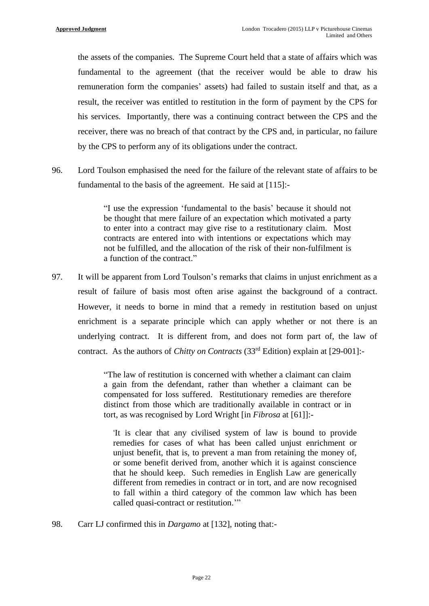the assets of the companies. The Supreme Court held that a state of affairs which was fundamental to the agreement (that the receiver would be able to draw his remuneration form the companies' assets) had failed to sustain itself and that, as a result, the receiver was entitled to restitution in the form of payment by the CPS for his services. Importantly, there was a continuing contract between the CPS and the receiver, there was no breach of that contract by the CPS and, in particular, no failure by the CPS to perform any of its obligations under the contract.

96. Lord Toulson emphasised the need for the failure of the relevant state of affairs to be fundamental to the basis of the agreement. He said at [115]:-

> "I use the expression 'fundamental to the basis' because it should not be thought that mere failure of an expectation which motivated a party to enter into a contract may give rise to a restitutionary claim. Most contracts are entered into with intentions or expectations which may not be fulfilled, and the allocation of the risk of their non-fulfilment is a function of the contract."

97. It will be apparent from Lord Toulson's remarks that claims in unjust enrichment as a result of failure of basis most often arise against the background of a contract. However, it needs to borne in mind that a remedy in restitution based on unjust enrichment is a separate principle which can apply whether or not there is an underlying contract. It is different from, and does not form part of, the law of contract. As the authors of *Chitty on Contracts* (33rd Edition) explain at [29-001]:-

> "The law of restitution is concerned with whether a claimant can claim a gain from the defendant, rather than whether a claimant can be compensated for loss suffered. Restitutionary remedies are therefore distinct from those which are traditionally available in contract or in tort, as was recognised by Lord Wright [in *Fibrosa* at [61]]:-

'It is clear that any civilised system of law is bound to provide remedies for cases of what has been called unjust enrichment or unjust benefit, that is, to prevent a man from retaining the money of, or some benefit derived from, another which it is against conscience that he should keep. Such remedies in English Law are generically different from remedies in contract or in tort, and are now recognised to fall within a third category of the common law which has been called quasi-contract or restitution."

98. Carr LJ confirmed this in *Dargamo* at [132], noting that:-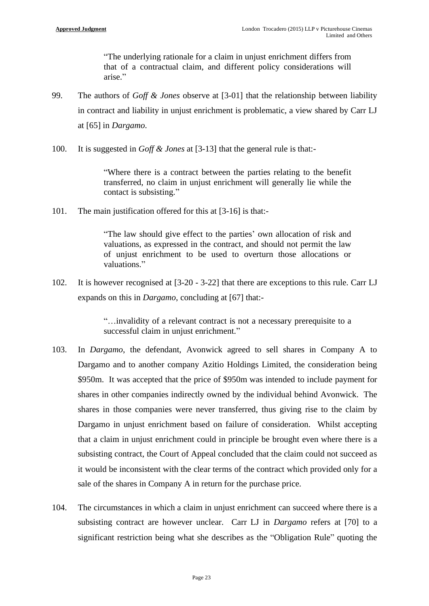"The underlying rationale for a claim in unjust enrichment differs from that of a contractual claim, and different policy considerations will arise."

- 99. The authors of *Goff & Jones* observe at [3-01] that the relationship between liability in contract and liability in unjust enrichment is problematic, a view shared by Carr LJ at [65] in *Dargamo*.
- 100. It is suggested in *Goff & Jones* at [3-13] that the general rule is that:-

"Where there is a contract between the parties relating to the benefit transferred, no claim in unjust enrichment will generally lie while the contact is subsisting."

101. The main justification offered for this at [3-16] is that:-

"The law should give effect to the parties' own allocation of risk and valuations, as expressed in the contract, and should not permit the law of unjust enrichment to be used to overturn those allocations or valuations."

102. It is however recognised at [3-20 - 3-22] that there are exceptions to this rule. Carr LJ expands on this in *Dargamo*, concluding at [67] that:-

> "…invalidity of a relevant contract is not a necessary prerequisite to a successful claim in unjust enrichment."

- 103. In *Dargamo*, the defendant, Avonwick agreed to sell shares in Company A to Dargamo and to another company Azitio Holdings Limited, the consideration being \$950m. It was accepted that the price of \$950m was intended to include payment for shares in other companies indirectly owned by the individual behind Avonwick. The shares in those companies were never transferred, thus giving rise to the claim by Dargamo in unjust enrichment based on failure of consideration. Whilst accepting that a claim in unjust enrichment could in principle be brought even where there is a subsisting contract, the Court of Appeal concluded that the claim could not succeed as it would be inconsistent with the clear terms of the contract which provided only for a sale of the shares in Company A in return for the purchase price.
- 104. The circumstances in which a claim in unjust enrichment can succeed where there is a subsisting contract are however unclear. Carr LJ in *Dargamo* refers at [70] to a significant restriction being what she describes as the "Obligation Rule" quoting the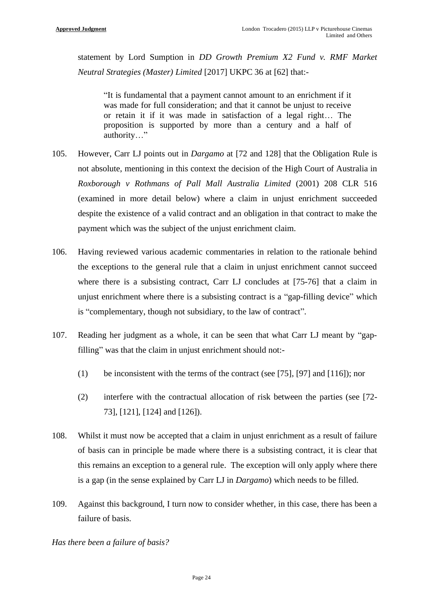statement by Lord Sumption in *DD Growth Premium X2 Fund v. RMF Market Neutral Strategies (Master) Limited* [2017] UKPC 36 at [62] that:-

"It is fundamental that a payment cannot amount to an enrichment if it was made for full consideration; and that it cannot be unjust to receive or retain it if it was made in satisfaction of a legal right… The proposition is supported by more than a century and a half of authority…"

- 105. However, Carr LJ points out in *Dargamo* at [72 and 128] that the Obligation Rule is not absolute, mentioning in this context the decision of the High Court of Australia in *Roxborough v Rothmans of Pall Mall Australia Limited* (2001) 208 CLR 516 (examined in more detail below) where a claim in unjust enrichment succeeded despite the existence of a valid contract and an obligation in that contract to make the payment which was the subject of the unjust enrichment claim.
- 106. Having reviewed various academic commentaries in relation to the rationale behind the exceptions to the general rule that a claim in unjust enrichment cannot succeed where there is a subsisting contract, Carr LJ concludes at [75-76] that a claim in unjust enrichment where there is a subsisting contract is a "gap-filling device" which is "complementary, though not subsidiary, to the law of contract".
- 107. Reading her judgment as a whole, it can be seen that what Carr LJ meant by "gapfilling" was that the claim in unjust enrichment should not:-
	- (1) be inconsistent with the terms of the contract (see [75], [97] and [116]); nor
	- (2) interfere with the contractual allocation of risk between the parties (see [72- 73], [121], [124] and [126]).
- 108. Whilst it must now be accepted that a claim in unjust enrichment as a result of failure of basis can in principle be made where there is a subsisting contract, it is clear that this remains an exception to a general rule. The exception will only apply where there is a gap (in the sense explained by Carr LJ in *Dargamo*) which needs to be filled.
- 109. Against this background, I turn now to consider whether, in this case, there has been a failure of basis.

*Has there been a failure of basis?*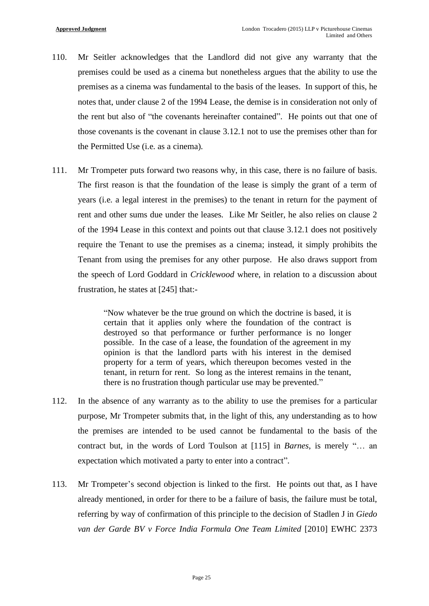- 110. Mr Seitler acknowledges that the Landlord did not give any warranty that the premises could be used as a cinema but nonetheless argues that the ability to use the premises as a cinema was fundamental to the basis of the leases. In support of this, he notes that, under clause 2 of the 1994 Lease, the demise is in consideration not only of the rent but also of "the covenants hereinafter contained". He points out that one of those covenants is the covenant in clause 3.12.1 not to use the premises other than for the Permitted Use (i.e. as a cinema).
- 111. Mr Trompeter puts forward two reasons why, in this case, there is no failure of basis. The first reason is that the foundation of the lease is simply the grant of a term of years (i.e. a legal interest in the premises) to the tenant in return for the payment of rent and other sums due under the leases. Like Mr Seitler, he also relies on clause 2 of the 1994 Lease in this context and points out that clause 3.12.1 does not positively require the Tenant to use the premises as a cinema; instead, it simply prohibits the Tenant from using the premises for any other purpose. He also draws support from the speech of Lord Goddard in *Cricklewood* where, in relation to a discussion about frustration, he states at [245] that:-

"Now whatever be the true ground on which the doctrine is based, it is certain that it applies only where the foundation of the contract is destroyed so that performance or further performance is no longer possible. In the case of a lease, the foundation of the agreement in my opinion is that the landlord parts with his interest in the demised property for a term of years, which thereupon becomes vested in the tenant, in return for rent. So long as the interest remains in the tenant, there is no frustration though particular use may be prevented."

- 112. In the absence of any warranty as to the ability to use the premises for a particular purpose, Mr Trompeter submits that, in the light of this, any understanding as to how the premises are intended to be used cannot be fundamental to the basis of the contract but, in the words of Lord Toulson at [115] in *Barnes*, is merely "… an expectation which motivated a party to enter into a contract".
- 113. Mr Trompeter's second objection is linked to the first. He points out that, as I have already mentioned, in order for there to be a failure of basis, the failure must be total, referring by way of confirmation of this principle to the decision of Stadlen J in *Giedo van der Garde BV v Force India Formula One Team Limited* [2010] EWHC 2373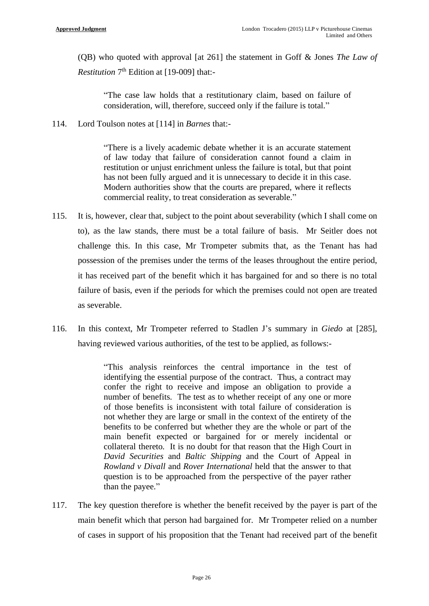(QB) who quoted with approval [at 261] the statement in Goff & Jones *The Law of Restitution* 7 th Edition at [19-009] that:-

"The case law holds that a restitutionary claim, based on failure of consideration, will, therefore, succeed only if the failure is total."

114. Lord Toulson notes at [114] in *Barnes* that:-

"There is a lively academic debate whether it is an accurate statement of law today that failure of consideration cannot found a claim in restitution or unjust enrichment unless the failure is total, but that point has not been fully argued and it is unnecessary to decide it in this case. Modern authorities show that the courts are prepared, where it reflects commercial reality, to treat consideration as severable."

- 115. It is, however, clear that, subject to the point about severability (which I shall come on to), as the law stands, there must be a total failure of basis. Mr Seitler does not challenge this. In this case, Mr Trompeter submits that, as the Tenant has had possession of the premises under the terms of the leases throughout the entire period, it has received part of the benefit which it has bargained for and so there is no total failure of basis, even if the periods for which the premises could not open are treated as severable.
- 116. In this context, Mr Trompeter referred to Stadlen J's summary in *Giedo* at [285], having reviewed various authorities, of the test to be applied, as follows:-

"This analysis reinforces the central importance in the test of identifying the essential purpose of the contract. Thus, a contract may confer the right to receive and impose an obligation to provide a number of benefits. The test as to whether receipt of any one or more of those benefits is inconsistent with total failure of consideration is not whether they are large or small in the context of the entirety of the benefits to be conferred but whether they are the whole or part of the main benefit expected or bargained for or merely incidental or collateral thereto. It is no doubt for that reason that the High Court in *David Securities* and *Baltic Shipping* and the Court of Appeal in *Rowland v Divall* and *Rover International* held that the answer to that question is to be approached from the perspective of the payer rather than the payee."

117. The key question therefore is whether the benefit received by the payer is part of the main benefit which that person had bargained for. Mr Trompeter relied on a number of cases in support of his proposition that the Tenant had received part of the benefit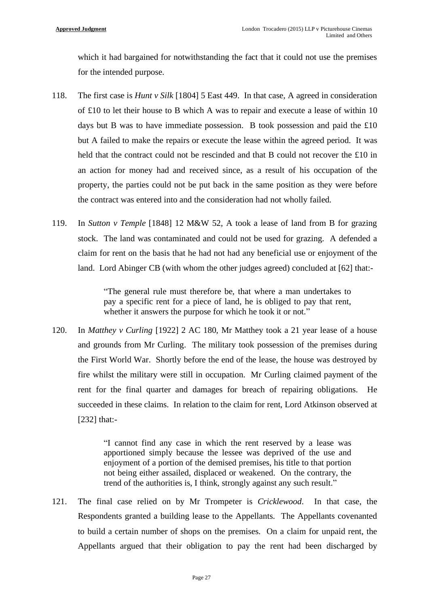which it had bargained for notwithstanding the fact that it could not use the premises for the intended purpose.

- 118. The first case is *Hunt v Silk* [1804] 5 East 449. In that case, A agreed in consideration of £10 to let their house to B which A was to repair and execute a lease of within 10 days but B was to have immediate possession. B took possession and paid the £10 but A failed to make the repairs or execute the lease within the agreed period. It was held that the contract could not be rescinded and that B could not recover the £10 in an action for money had and received since, as a result of his occupation of the property, the parties could not be put back in the same position as they were before the contract was entered into and the consideration had not wholly failed.
- 119. In *Sutton v Temple* [1848] 12 M&W 52, A took a lease of land from B for grazing stock. The land was contaminated and could not be used for grazing. A defended a claim for rent on the basis that he had not had any beneficial use or enjoyment of the land. Lord Abinger CB (with whom the other judges agreed) concluded at [62] that:-

"The general rule must therefore be, that where a man undertakes to pay a specific rent for a piece of land, he is obliged to pay that rent, whether it answers the purpose for which he took it or not."

120. In *Matthey v Curling* [1922] 2 AC 180, Mr Matthey took a 21 year lease of a house and grounds from Mr Curling. The military took possession of the premises during the First World War. Shortly before the end of the lease, the house was destroyed by fire whilst the military were still in occupation. Mr Curling claimed payment of the rent for the final quarter and damages for breach of repairing obligations. He succeeded in these claims. In relation to the claim for rent, Lord Atkinson observed at [232] that:-

> "I cannot find any case in which the rent reserved by a lease was apportioned simply because the lessee was deprived of the use and enjoyment of a portion of the demised premises, his title to that portion not being either assailed, displaced or weakened. On the contrary, the trend of the authorities is, I think, strongly against any such result."

121. The final case relied on by Mr Trompeter is *Cricklewood*. In that case, the Respondents granted a building lease to the Appellants. The Appellants covenanted to build a certain number of shops on the premises. On a claim for unpaid rent, the Appellants argued that their obligation to pay the rent had been discharged by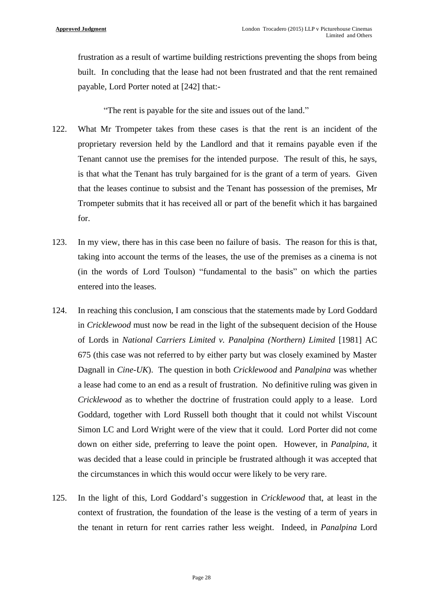frustration as a result of wartime building restrictions preventing the shops from being built. In concluding that the lease had not been frustrated and that the rent remained payable, Lord Porter noted at [242] that:-

"The rent is payable for the site and issues out of the land."

- 122. What Mr Trompeter takes from these cases is that the rent is an incident of the proprietary reversion held by the Landlord and that it remains payable even if the Tenant cannot use the premises for the intended purpose. The result of this, he says, is that what the Tenant has truly bargained for is the grant of a term of years. Given that the leases continue to subsist and the Tenant has possession of the premises, Mr Trompeter submits that it has received all or part of the benefit which it has bargained for.
- 123. In my view, there has in this case been no failure of basis. The reason for this is that, taking into account the terms of the leases, the use of the premises as a cinema is not (in the words of Lord Toulson) "fundamental to the basis" on which the parties entered into the leases.
- 124. In reaching this conclusion, I am conscious that the statements made by Lord Goddard in *Cricklewood* must now be read in the light of the subsequent decision of the House of Lords in *National Carriers Limited v. Panalpina (Northern) Limited* [1981] AC 675 (this case was not referred to by either party but was closely examined by Master Dagnall in *Cine-UK*). The question in both *Cricklewood* and *Panalpina* was whether a lease had come to an end as a result of frustration. No definitive ruling was given in *Cricklewood* as to whether the doctrine of frustration could apply to a lease. Lord Goddard, together with Lord Russell both thought that it could not whilst Viscount Simon LC and Lord Wright were of the view that it could. Lord Porter did not come down on either side, preferring to leave the point open. However, in *Panalpina,* it was decided that a lease could in principle be frustrated although it was accepted that the circumstances in which this would occur were likely to be very rare.
- 125. In the light of this, Lord Goddard's suggestion in *Cricklewood* that, at least in the context of frustration, the foundation of the lease is the vesting of a term of years in the tenant in return for rent carries rather less weight. Indeed, in *Panalpina* Lord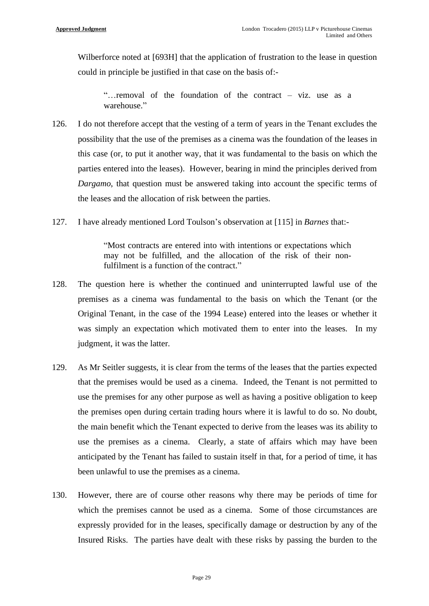Wilberforce noted at [693H] that the application of frustration to the lease in question could in principle be justified in that case on the basis of:-

"…removal of the foundation of the contract – viz. use as a warehouse."

- 126. I do not therefore accept that the vesting of a term of years in the Tenant excludes the possibility that the use of the premises as a cinema was the foundation of the leases in this case (or, to put it another way, that it was fundamental to the basis on which the parties entered into the leases). However, bearing in mind the principles derived from *Dargamo*, that question must be answered taking into account the specific terms of the leases and the allocation of risk between the parties.
- 127. I have already mentioned Lord Toulson's observation at [115] in *Barnes* that:-

"Most contracts are entered into with intentions or expectations which may not be fulfilled, and the allocation of the risk of their nonfulfilment is a function of the contract."

- 128. The question here is whether the continued and uninterrupted lawful use of the premises as a cinema was fundamental to the basis on which the Tenant (or the Original Tenant, in the case of the 1994 Lease) entered into the leases or whether it was simply an expectation which motivated them to enter into the leases. In my judgment, it was the latter.
- 129. As Mr Seitler suggests, it is clear from the terms of the leases that the parties expected that the premises would be used as a cinema. Indeed, the Tenant is not permitted to use the premises for any other purpose as well as having a positive obligation to keep the premises open during certain trading hours where it is lawful to do so. No doubt, the main benefit which the Tenant expected to derive from the leases was its ability to use the premises as a cinema. Clearly, a state of affairs which may have been anticipated by the Tenant has failed to sustain itself in that, for a period of time, it has been unlawful to use the premises as a cinema.
- 130. However, there are of course other reasons why there may be periods of time for which the premises cannot be used as a cinema. Some of those circumstances are expressly provided for in the leases, specifically damage or destruction by any of the Insured Risks. The parties have dealt with these risks by passing the burden to the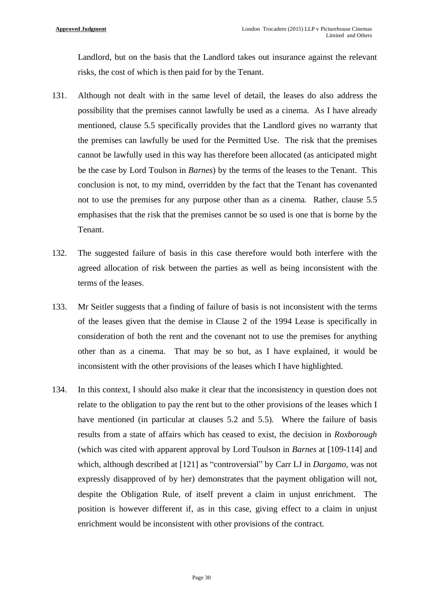Landlord, but on the basis that the Landlord takes out insurance against the relevant risks, the cost of which is then paid for by the Tenant.

- 131. Although not dealt with in the same level of detail, the leases do also address the possibility that the premises cannot lawfully be used as a cinema. As I have already mentioned, clause 5.5 specifically provides that the Landlord gives no warranty that the premises can lawfully be used for the Permitted Use. The risk that the premises cannot be lawfully used in this way has therefore been allocated (as anticipated might be the case by Lord Toulson in *Barnes*) by the terms of the leases to the Tenant. This conclusion is not, to my mind, overridden by the fact that the Tenant has covenanted not to use the premises for any purpose other than as a cinema. Rather, clause 5.5 emphasises that the risk that the premises cannot be so used is one that is borne by the Tenant.
- 132. The suggested failure of basis in this case therefore would both interfere with the agreed allocation of risk between the parties as well as being inconsistent with the terms of the leases.
- 133. Mr Seitler suggests that a finding of failure of basis is not inconsistent with the terms of the leases given that the demise in Clause 2 of the 1994 Lease is specifically in consideration of both the rent and the covenant not to use the premises for anything other than as a cinema. That may be so but, as I have explained, it would be inconsistent with the other provisions of the leases which I have highlighted.
- 134. In this context, I should also make it clear that the inconsistency in question does not relate to the obligation to pay the rent but to the other provisions of the leases which I have mentioned (in particular at clauses 5.2 and 5.5). Where the failure of basis results from a state of affairs which has ceased to exist, the decision in *Roxborough* (which was cited with apparent approval by Lord Toulson in *Barnes* at [109-114] and which, although described at [121] as "controversial" by Carr LJ in *Dargamo*, was not expressly disapproved of by her) demonstrates that the payment obligation will not, despite the Obligation Rule, of itself prevent a claim in unjust enrichment. The position is however different if, as in this case, giving effect to a claim in unjust enrichment would be inconsistent with other provisions of the contract.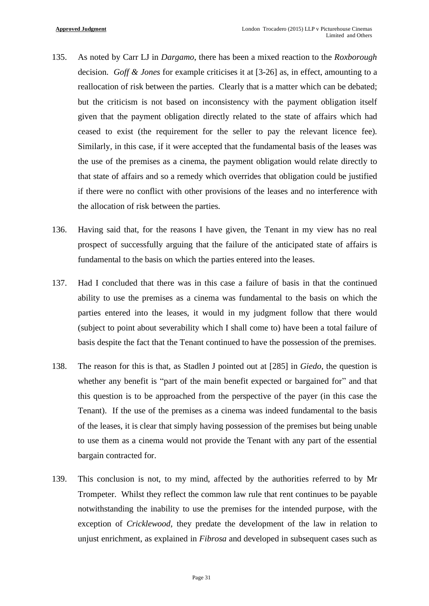- 135. As noted by Carr LJ in *Dargamo*, there has been a mixed reaction to the *Roxborough* decision. *Goff & Jones* for example criticises it at [3-26] as, in effect, amounting to a reallocation of risk between the parties. Clearly that is a matter which can be debated; but the criticism is not based on inconsistency with the payment obligation itself given that the payment obligation directly related to the state of affairs which had ceased to exist (the requirement for the seller to pay the relevant licence fee). Similarly, in this case, if it were accepted that the fundamental basis of the leases was the use of the premises as a cinema, the payment obligation would relate directly to that state of affairs and so a remedy which overrides that obligation could be justified if there were no conflict with other provisions of the leases and no interference with the allocation of risk between the parties.
- 136. Having said that, for the reasons I have given, the Tenant in my view has no real prospect of successfully arguing that the failure of the anticipated state of affairs is fundamental to the basis on which the parties entered into the leases.
- 137. Had I concluded that there was in this case a failure of basis in that the continued ability to use the premises as a cinema was fundamental to the basis on which the parties entered into the leases, it would in my judgment follow that there would (subject to point about severability which I shall come to) have been a total failure of basis despite the fact that the Tenant continued to have the possession of the premises.
- 138. The reason for this is that, as Stadlen J pointed out at [285] in *Giedo*, the question is whether any benefit is "part of the main benefit expected or bargained for" and that this question is to be approached from the perspective of the payer (in this case the Tenant). If the use of the premises as a cinema was indeed fundamental to the basis of the leases, it is clear that simply having possession of the premises but being unable to use them as a cinema would not provide the Tenant with any part of the essential bargain contracted for.
- 139. This conclusion is not, to my mind, affected by the authorities referred to by Mr Trompeter. Whilst they reflect the common law rule that rent continues to be payable notwithstanding the inability to use the premises for the intended purpose, with the exception of *Cricklewood*, they predate the development of the law in relation to unjust enrichment, as explained in *Fibrosa* and developed in subsequent cases such as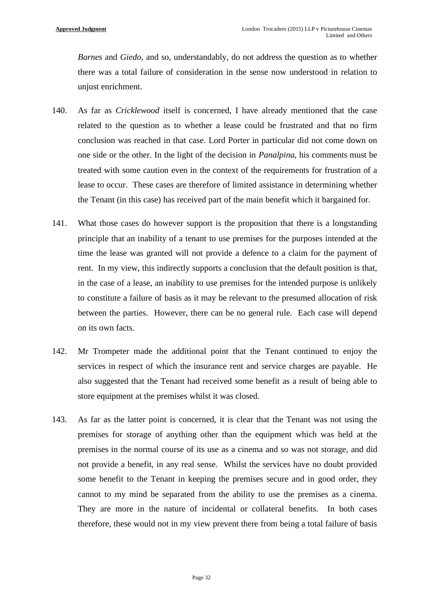*Barnes* and *Giedo*, and so, understandably, do not address the question as to whether there was a total failure of consideration in the sense now understood in relation to unjust enrichment.

- 140. As far as *Cricklewood* itself is concerned, I have already mentioned that the case related to the question as to whether a lease could be frustrated and that no firm conclusion was reached in that case. Lord Porter in particular did not come down on one side or the other. In the light of the decision in *Panalpina*, his comments must be treated with some caution even in the context of the requirements for frustration of a lease to occur. These cases are therefore of limited assistance in determining whether the Tenant (in this case) has received part of the main benefit which it bargained for.
- 141. What those cases do however support is the proposition that there is a longstanding principle that an inability of a tenant to use premises for the purposes intended at the time the lease was granted will not provide a defence to a claim for the payment of rent. In my view, this indirectly supports a conclusion that the default position is that, in the case of a lease, an inability to use premises for the intended purpose is unlikely to constitute a failure of basis as it may be relevant to the presumed allocation of risk between the parties. However, there can be no general rule. Each case will depend on its own facts.
- 142. Mr Trompeter made the additional point that the Tenant continued to enjoy the services in respect of which the insurance rent and service charges are payable. He also suggested that the Tenant had received some benefit as a result of being able to store equipment at the premises whilst it was closed.
- 143. As far as the latter point is concerned, it is clear that the Tenant was not using the premises for storage of anything other than the equipment which was held at the premises in the normal course of its use as a cinema and so was not storage, and did not provide a benefit, in any real sense. Whilst the services have no doubt provided some benefit to the Tenant in keeping the premises secure and in good order, they cannot to my mind be separated from the ability to use the premises as a cinema. They are more in the nature of incidental or collateral benefits. In both cases therefore, these would not in my view prevent there from being a total failure of basis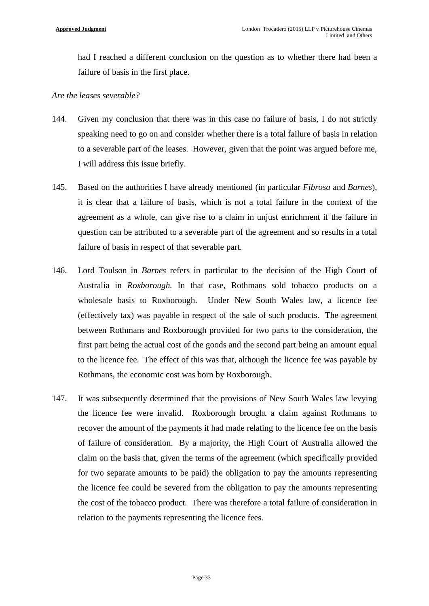had I reached a different conclusion on the question as to whether there had been a failure of basis in the first place.

#### *Are the leases severable?*

- 144. Given my conclusion that there was in this case no failure of basis, I do not strictly speaking need to go on and consider whether there is a total failure of basis in relation to a severable part of the leases. However, given that the point was argued before me, I will address this issue briefly.
- 145. Based on the authorities I have already mentioned (in particular *Fibrosa* and *Barnes*), it is clear that a failure of basis, which is not a total failure in the context of the agreement as a whole, can give rise to a claim in unjust enrichment if the failure in question can be attributed to a severable part of the agreement and so results in a total failure of basis in respect of that severable part.
- 146. Lord Toulson in *Barnes* refers in particular to the decision of the High Court of Australia in *Roxborough.* In that case, Rothmans sold tobacco products on a wholesale basis to Roxborough. Under New South Wales law, a licence fee (effectively tax) was payable in respect of the sale of such products. The agreement between Rothmans and Roxborough provided for two parts to the consideration, the first part being the actual cost of the goods and the second part being an amount equal to the licence fee. The effect of this was that, although the licence fee was payable by Rothmans, the economic cost was born by Roxborough.
- 147. It was subsequently determined that the provisions of New South Wales law levying the licence fee were invalid. Roxborough brought a claim against Rothmans to recover the amount of the payments it had made relating to the licence fee on the basis of failure of consideration. By a majority, the High Court of Australia allowed the claim on the basis that, given the terms of the agreement (which specifically provided for two separate amounts to be paid) the obligation to pay the amounts representing the licence fee could be severed from the obligation to pay the amounts representing the cost of the tobacco product. There was therefore a total failure of consideration in relation to the payments representing the licence fees.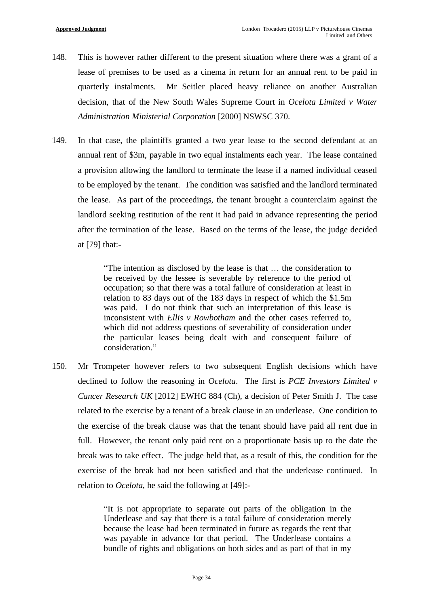- 148. This is however rather different to the present situation where there was a grant of a lease of premises to be used as a cinema in return for an annual rent to be paid in quarterly instalments. Mr Seitler placed heavy reliance on another Australian decision, that of the New South Wales Supreme Court in *Ocelota Limited v Water Administration Ministerial Corporation* [2000] NSWSC 370.
- 149. In that case, the plaintiffs granted a two year lease to the second defendant at an annual rent of \$3m, payable in two equal instalments each year. The lease contained a provision allowing the landlord to terminate the lease if a named individual ceased to be employed by the tenant. The condition was satisfied and the landlord terminated the lease. As part of the proceedings, the tenant brought a counterclaim against the landlord seeking restitution of the rent it had paid in advance representing the period after the termination of the lease. Based on the terms of the lease, the judge decided at [79] that:-

"The intention as disclosed by the lease is that … the consideration to be received by the lessee is severable by reference to the period of occupation; so that there was a total failure of consideration at least in relation to 83 days out of the 183 days in respect of which the \$1.5m was paid. I do not think that such an interpretation of this lease is inconsistent with *Ellis v Rowbotham* and the other cases referred to, which did not address questions of severability of consideration under the particular leases being dealt with and consequent failure of consideration."

150. Mr Trompeter however refers to two subsequent English decisions which have declined to follow the reasoning in *Ocelota*. The first is *PCE Investors Limited v Cancer Research UK* [2012] EWHC 884 (Ch), a decision of Peter Smith J. The case related to the exercise by a tenant of a break clause in an underlease. One condition to the exercise of the break clause was that the tenant should have paid all rent due in full. However, the tenant only paid rent on a proportionate basis up to the date the break was to take effect. The judge held that, as a result of this, the condition for the exercise of the break had not been satisfied and that the underlease continued. In relation to *Ocelota*, he said the following at [49]:-

> "It is not appropriate to separate out parts of the obligation in the Underlease and say that there is a total failure of consideration merely because the lease had been terminated in future as regards the rent that was payable in advance for that period. The Underlease contains a bundle of rights and obligations on both sides and as part of that in my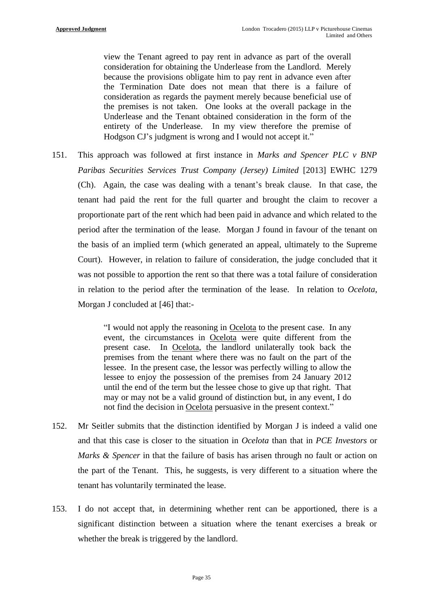view the Tenant agreed to pay rent in advance as part of the overall consideration for obtaining the Underlease from the Landlord. Merely because the provisions obligate him to pay rent in advance even after the Termination Date does not mean that there is a failure of consideration as regards the payment merely because beneficial use of the premises is not taken. One looks at the overall package in the Underlease and the Tenant obtained consideration in the form of the entirety of the Underlease. In my view therefore the premise of Hodgson CJ's judgment is wrong and I would not accept it."

151. This approach was followed at first instance in *Marks and Spencer PLC v BNP Paribas Securities Services Trust Company (Jersey) Limited* [2013] EWHC 1279 (Ch). Again, the case was dealing with a tenant's break clause. In that case, the tenant had paid the rent for the full quarter and brought the claim to recover a proportionate part of the rent which had been paid in advance and which related to the period after the termination of the lease. Morgan J found in favour of the tenant on the basis of an implied term (which generated an appeal, ultimately to the Supreme Court). However, in relation to failure of consideration, the judge concluded that it was not possible to apportion the rent so that there was a total failure of consideration in relation to the period after the termination of the lease. In relation to *Ocelota*, Morgan J concluded at [46] that:-

> "I would not apply the reasoning in Ocelota to the present case. In any event, the circumstances in Ocelota were quite different from the present case. In Ocelota, the landlord unilaterally took back the premises from the tenant where there was no fault on the part of the lessee. In the present case, the lessor was perfectly willing to allow the lessee to enjoy the possession of the premises from 24 January 2012 until the end of the term but the lessee chose to give up that right. That may or may not be a valid ground of distinction but, in any event, I do not find the decision in Ocelota persuasive in the present context."

- 152. Mr Seitler submits that the distinction identified by Morgan J is indeed a valid one and that this case is closer to the situation in *Ocelota* than that in *PCE Investors* or *Marks & Spencer* in that the failure of basis has arisen through no fault or action on the part of the Tenant. This, he suggests, is very different to a situation where the tenant has voluntarily terminated the lease.
- 153. I do not accept that, in determining whether rent can be apportioned, there is a significant distinction between a situation where the tenant exercises a break or whether the break is triggered by the landlord.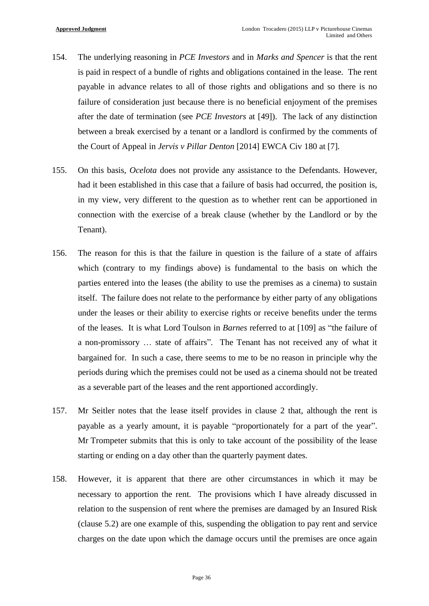- 154. The underlying reasoning in *PCE Investors* and in *Marks and Spencer* is that the rent is paid in respect of a bundle of rights and obligations contained in the lease. The rent payable in advance relates to all of those rights and obligations and so there is no failure of consideration just because there is no beneficial enjoyment of the premises after the date of termination (see *PCE Investors* at [49]). The lack of any distinction between a break exercised by a tenant or a landlord is confirmed by the comments of the Court of Appeal in *Jervis v Pillar Denton* [2014] EWCA Civ 180 at [7].
- 155. On this basis, *Ocelota* does not provide any assistance to the Defendants. However, had it been established in this case that a failure of basis had occurred, the position is, in my view, very different to the question as to whether rent can be apportioned in connection with the exercise of a break clause (whether by the Landlord or by the Tenant).
- 156. The reason for this is that the failure in question is the failure of a state of affairs which (contrary to my findings above) is fundamental to the basis on which the parties entered into the leases (the ability to use the premises as a cinema) to sustain itself. The failure does not relate to the performance by either party of any obligations under the leases or their ability to exercise rights or receive benefits under the terms of the leases. It is what Lord Toulson in *Barnes* referred to at [109] as "the failure of a non-promissory … state of affairs". The Tenant has not received any of what it bargained for. In such a case, there seems to me to be no reason in principle why the periods during which the premises could not be used as a cinema should not be treated as a severable part of the leases and the rent apportioned accordingly.
- 157. Mr Seitler notes that the lease itself provides in clause 2 that, although the rent is payable as a yearly amount, it is payable "proportionately for a part of the year". Mr Trompeter submits that this is only to take account of the possibility of the lease starting or ending on a day other than the quarterly payment dates.
- 158. However, it is apparent that there are other circumstances in which it may be necessary to apportion the rent. The provisions which I have already discussed in relation to the suspension of rent where the premises are damaged by an Insured Risk (clause 5.2) are one example of this, suspending the obligation to pay rent and service charges on the date upon which the damage occurs until the premises are once again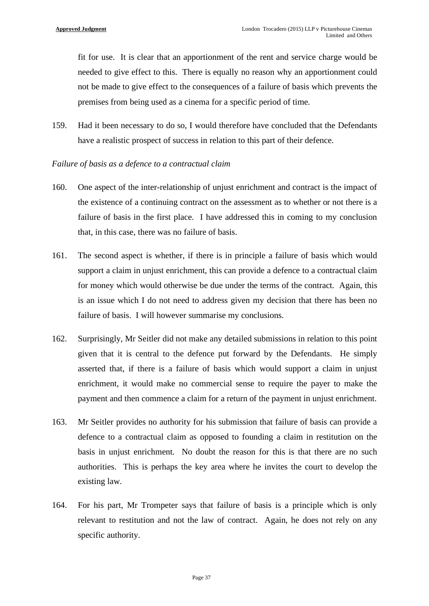fit for use. It is clear that an apportionment of the rent and service charge would be needed to give effect to this. There is equally no reason why an apportionment could not be made to give effect to the consequences of a failure of basis which prevents the premises from being used as a cinema for a specific period of time.

159. Had it been necessary to do so, I would therefore have concluded that the Defendants have a realistic prospect of success in relation to this part of their defence.

#### *Failure of basis as a defence to a contractual claim*

- 160. One aspect of the inter-relationship of unjust enrichment and contract is the impact of the existence of a continuing contract on the assessment as to whether or not there is a failure of basis in the first place. I have addressed this in coming to my conclusion that, in this case, there was no failure of basis.
- 161. The second aspect is whether, if there is in principle a failure of basis which would support a claim in unjust enrichment, this can provide a defence to a contractual claim for money which would otherwise be due under the terms of the contract. Again, this is an issue which I do not need to address given my decision that there has been no failure of basis. I will however summarise my conclusions.
- 162. Surprisingly, Mr Seitler did not make any detailed submissions in relation to this point given that it is central to the defence put forward by the Defendants. He simply asserted that, if there is a failure of basis which would support a claim in unjust enrichment, it would make no commercial sense to require the payer to make the payment and then commence a claim for a return of the payment in unjust enrichment.
- 163. Mr Seitler provides no authority for his submission that failure of basis can provide a defence to a contractual claim as opposed to founding a claim in restitution on the basis in unjust enrichment. No doubt the reason for this is that there are no such authorities. This is perhaps the key area where he invites the court to develop the existing law.
- 164. For his part, Mr Trompeter says that failure of basis is a principle which is only relevant to restitution and not the law of contract. Again, he does not rely on any specific authority.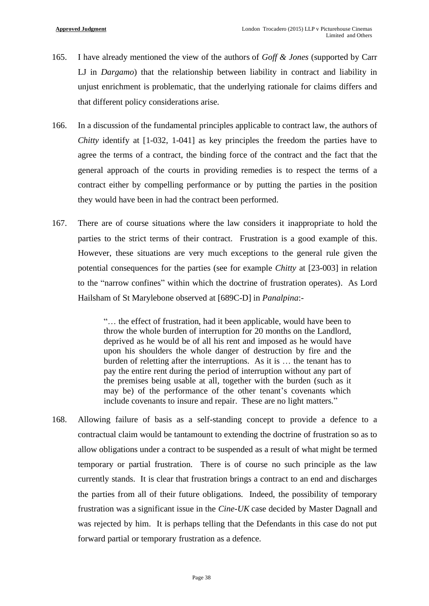- 165. I have already mentioned the view of the authors of *Goff & Jones* (supported by Carr LJ in *Dargamo*) that the relationship between liability in contract and liability in unjust enrichment is problematic, that the underlying rationale for claims differs and that different policy considerations arise.
- 166. In a discussion of the fundamental principles applicable to contract law, the authors of *Chitty* identify at [1-032, 1-041] as key principles the freedom the parties have to agree the terms of a contract, the binding force of the contract and the fact that the general approach of the courts in providing remedies is to respect the terms of a contract either by compelling performance or by putting the parties in the position they would have been in had the contract been performed.
- 167. There are of course situations where the law considers it inappropriate to hold the parties to the strict terms of their contract. Frustration is a good example of this. However, these situations are very much exceptions to the general rule given the potential consequences for the parties (see for example *Chitty* at [23-003] in relation to the "narrow confines" within which the doctrine of frustration operates). As Lord Hailsham of St Marylebone observed at [689C-D] in *Panalpina*:-

"… the effect of frustration, had it been applicable, would have been to throw the whole burden of interruption for 20 months on the Landlord, deprived as he would be of all his rent and imposed as he would have upon his shoulders the whole danger of destruction by fire and the burden of reletting after the interruptions. As it is … the tenant has to pay the entire rent during the period of interruption without any part of the premises being usable at all, together with the burden (such as it may be) of the performance of the other tenant's covenants which include covenants to insure and repair. These are no light matters."

168. Allowing failure of basis as a self-standing concept to provide a defence to a contractual claim would be tantamount to extending the doctrine of frustration so as to allow obligations under a contract to be suspended as a result of what might be termed temporary or partial frustration. There is of course no such principle as the law currently stands. It is clear that frustration brings a contract to an end and discharges the parties from all of their future obligations. Indeed, the possibility of temporary frustration was a significant issue in the *Cine-UK* case decided by Master Dagnall and was rejected by him. It is perhaps telling that the Defendants in this case do not put forward partial or temporary frustration as a defence.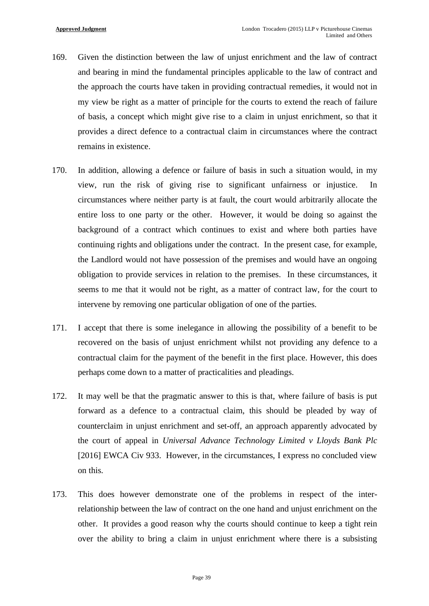- 169. Given the distinction between the law of unjust enrichment and the law of contract and bearing in mind the fundamental principles applicable to the law of contract and the approach the courts have taken in providing contractual remedies, it would not in my view be right as a matter of principle for the courts to extend the reach of failure of basis, a concept which might give rise to a claim in unjust enrichment, so that it provides a direct defence to a contractual claim in circumstances where the contract remains in existence.
- 170. In addition, allowing a defence or failure of basis in such a situation would, in my view, run the risk of giving rise to significant unfairness or injustice. In circumstances where neither party is at fault, the court would arbitrarily allocate the entire loss to one party or the other. However, it would be doing so against the background of a contract which continues to exist and where both parties have continuing rights and obligations under the contract. In the present case, for example, the Landlord would not have possession of the premises and would have an ongoing obligation to provide services in relation to the premises. In these circumstances, it seems to me that it would not be right, as a matter of contract law, for the court to intervene by removing one particular obligation of one of the parties.
- 171. I accept that there is some inelegance in allowing the possibility of a benefit to be recovered on the basis of unjust enrichment whilst not providing any defence to a contractual claim for the payment of the benefit in the first place. However, this does perhaps come down to a matter of practicalities and pleadings.
- 172. It may well be that the pragmatic answer to this is that, where failure of basis is put forward as a defence to a contractual claim, this should be pleaded by way of counterclaim in unjust enrichment and set-off, an approach apparently advocated by the court of appeal in *Universal Advance Technology Limited v Lloyds Bank Plc* [2016] EWCA Civ 933. However, in the circumstances, I express no concluded view on this.
- 173. This does however demonstrate one of the problems in respect of the interrelationship between the law of contract on the one hand and unjust enrichment on the other. It provides a good reason why the courts should continue to keep a tight rein over the ability to bring a claim in unjust enrichment where there is a subsisting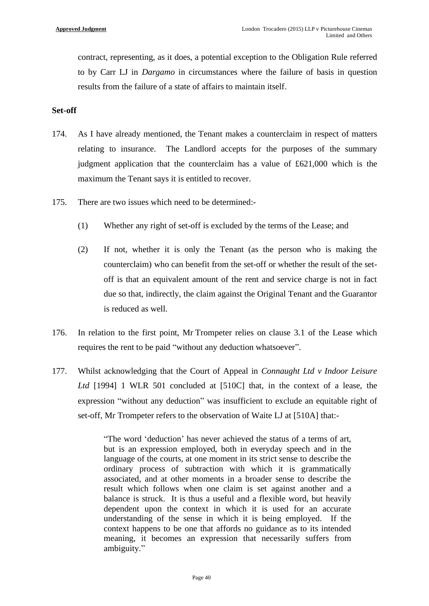contract, representing, as it does, a potential exception to the Obligation Rule referred to by Carr LJ in *Dargamo* in circumstances where the failure of basis in question results from the failure of a state of affairs to maintain itself.

### **Set-off**

- 174. As I have already mentioned, the Tenant makes a counterclaim in respect of matters relating to insurance. The Landlord accepts for the purposes of the summary judgment application that the counterclaim has a value of £621,000 which is the maximum the Tenant says it is entitled to recover.
- 175. There are two issues which need to be determined:-
	- (1) Whether any right of set-off is excluded by the terms of the Lease; and
	- (2) If not, whether it is only the Tenant (as the person who is making the counterclaim) who can benefit from the set-off or whether the result of the setoff is that an equivalent amount of the rent and service charge is not in fact due so that, indirectly, the claim against the Original Tenant and the Guarantor is reduced as well.
- 176. In relation to the first point, Mr Trompeter relies on clause 3.1 of the Lease which requires the rent to be paid "without any deduction whatsoever".
- 177. Whilst acknowledging that the Court of Appeal in *Connaught Ltd v Indoor Leisure Ltd* [1994] 1 WLR 501 concluded at [510C] that, in the context of a lease, the expression "without any deduction" was insufficient to exclude an equitable right of set-off, Mr Trompeter refers to the observation of Waite LJ at [510A] that:-

"The word 'deduction' has never achieved the status of a terms of art, but is an expression employed, both in everyday speech and in the language of the courts, at one moment in its strict sense to describe the ordinary process of subtraction with which it is grammatically associated, and at other moments in a broader sense to describe the result which follows when one claim is set against another and a balance is struck. It is thus a useful and a flexible word, but heavily dependent upon the context in which it is used for an accurate understanding of the sense in which it is being employed. If the context happens to be one that affords no guidance as to its intended meaning, it becomes an expression that necessarily suffers from ambiguity."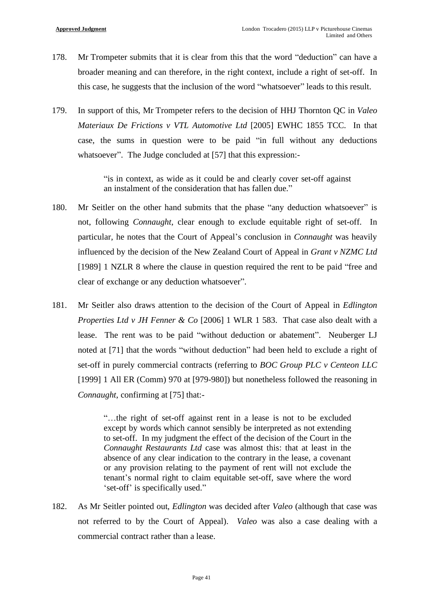- 178. Mr Trompeter submits that it is clear from this that the word "deduction" can have a broader meaning and can therefore, in the right context, include a right of set-off. In this case, he suggests that the inclusion of the word "whatsoever" leads to this result.
- 179. In support of this, Mr Trompeter refers to the decision of HHJ Thornton QC in *Valeo Materiaux De Frictions v VTL Automotive Ltd* [2005] EWHC 1855 TCC. In that case, the sums in question were to be paid "in full without any deductions whatsoever". The Judge concluded at [57] that this expression:-

"is in context, as wide as it could be and clearly cover set-off against an instalment of the consideration that has fallen due."

- 180. Mr Seitler on the other hand submits that the phase "any deduction whatsoever" is not, following *Connaught*, clear enough to exclude equitable right of set-off. In particular, he notes that the Court of Appeal's conclusion in *Connaught* was heavily influenced by the decision of the New Zealand Court of Appeal in *Grant v NZMC Ltd* [1989] 1 NZLR 8 where the clause in question required the rent to be paid "free and clear of exchange or any deduction whatsoever".
- 181. Mr Seitler also draws attention to the decision of the Court of Appeal in *Edlington Properties Ltd v JH Fenner & Co* [2006] 1 WLR 1 583. That case also dealt with a lease. The rent was to be paid "without deduction or abatement". Neuberger LJ noted at [71] that the words "without deduction" had been held to exclude a right of set-off in purely commercial contracts (referring to *BOC Group PLC v Centeon LLC* [1999] 1 All ER (Comm) 970 at [979-980]) but nonetheless followed the reasoning in *Connaught*, confirming at [75] that:-

"…the right of set-off against rent in a lease is not to be excluded except by words which cannot sensibly be interpreted as not extending to set-off. In my judgment the effect of the decision of the Court in the *Connaught Restaurants Ltd* case was almost this: that at least in the absence of any clear indication to the contrary in the lease, a covenant or any provision relating to the payment of rent will not exclude the tenant's normal right to claim equitable set-off, save where the word 'set-off' is specifically used."

182. As Mr Seitler pointed out, *Edlington* was decided after *Valeo* (although that case was not referred to by the Court of Appeal). *Valeo* was also a case dealing with a commercial contract rather than a lease.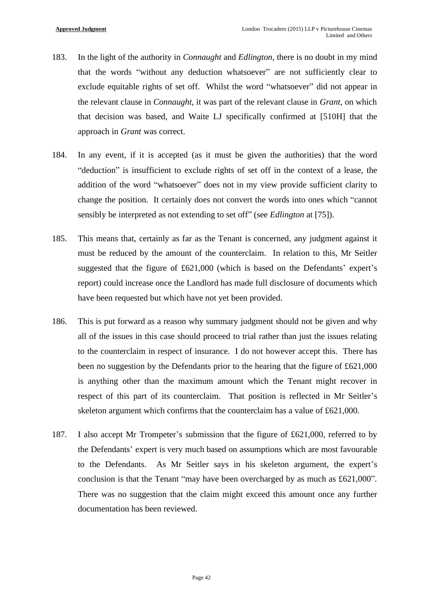- 183. In the light of the authority in *Connaught* and *Edlington*, there is no doubt in my mind that the words "without any deduction whatsoever" are not sufficiently clear to exclude equitable rights of set off. Whilst the word "whatsoever" did not appear in the relevant clause in *Connaught*, it was part of the relevant clause in *Grant,* on which that decision was based, and Waite LJ specifically confirmed at [510H] that the approach in *Grant* was correct.
- 184. In any event, if it is accepted (as it must be given the authorities) that the word "deduction" is insufficient to exclude rights of set off in the context of a lease, the addition of the word "whatsoever" does not in my view provide sufficient clarity to change the position. It certainly does not convert the words into ones which "cannot sensibly be interpreted as not extending to set off" (see *Edlington* at [75]).
- 185. This means that, certainly as far as the Tenant is concerned, any judgment against it must be reduced by the amount of the counterclaim. In relation to this, Mr Seitler suggested that the figure of £621,000 (which is based on the Defendants' expert's report) could increase once the Landlord has made full disclosure of documents which have been requested but which have not yet been provided.
- 186. This is put forward as a reason why summary judgment should not be given and why all of the issues in this case should proceed to trial rather than just the issues relating to the counterclaim in respect of insurance. I do not however accept this. There has been no suggestion by the Defendants prior to the hearing that the figure of £621,000 is anything other than the maximum amount which the Tenant might recover in respect of this part of its counterclaim. That position is reflected in Mr Seitler's skeleton argument which confirms that the counterclaim has a value of £621,000.
- 187. I also accept Mr Trompeter's submission that the figure of £621,000, referred to by the Defendants' expert is very much based on assumptions which are most favourable to the Defendants. As Mr Seitler says in his skeleton argument, the expert's conclusion is that the Tenant "may have been overcharged by as much as £621,000". There was no suggestion that the claim might exceed this amount once any further documentation has been reviewed.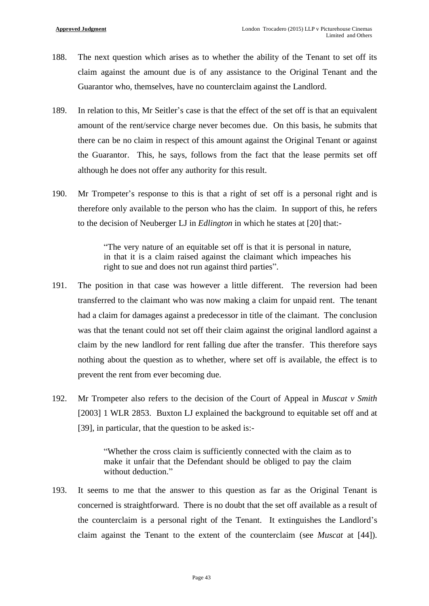- 188. The next question which arises as to whether the ability of the Tenant to set off its claim against the amount due is of any assistance to the Original Tenant and the Guarantor who, themselves, have no counterclaim against the Landlord.
- 189. In relation to this, Mr Seitler's case is that the effect of the set off is that an equivalent amount of the rent/service charge never becomes due. On this basis, he submits that there can be no claim in respect of this amount against the Original Tenant or against the Guarantor. This, he says, follows from the fact that the lease permits set off although he does not offer any authority for this result.
- 190. Mr Trompeter's response to this is that a right of set off is a personal right and is therefore only available to the person who has the claim. In support of this, he refers to the decision of Neuberger LJ in *Edlington* in which he states at [20] that:-

"The very nature of an equitable set off is that it is personal in nature, in that it is a claim raised against the claimant which impeaches his right to sue and does not run against third parties".

- 191. The position in that case was however a little different. The reversion had been transferred to the claimant who was now making a claim for unpaid rent. The tenant had a claim for damages against a predecessor in title of the claimant. The conclusion was that the tenant could not set off their claim against the original landlord against a claim by the new landlord for rent falling due after the transfer. This therefore says nothing about the question as to whether, where set off is available, the effect is to prevent the rent from ever becoming due.
- 192. Mr Trompeter also refers to the decision of the Court of Appeal in *Muscat v Smith* [2003] 1 WLR 2853. Buxton LJ explained the background to equitable set off and at [39], in particular, that the question to be asked is:-

"Whether the cross claim is sufficiently connected with the claim as to make it unfair that the Defendant should be obliged to pay the claim without deduction."

193. It seems to me that the answer to this question as far as the Original Tenant is concerned is straightforward. There is no doubt that the set off available as a result of the counterclaim is a personal right of the Tenant. It extinguishes the Landlord's claim against the Tenant to the extent of the counterclaim (see *Muscat* at [44]).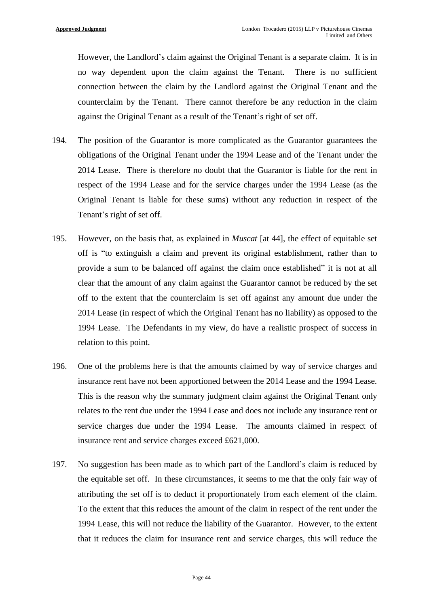However, the Landlord's claim against the Original Tenant is a separate claim. It is in no way dependent upon the claim against the Tenant. There is no sufficient connection between the claim by the Landlord against the Original Tenant and the counterclaim by the Tenant. There cannot therefore be any reduction in the claim against the Original Tenant as a result of the Tenant's right of set off.

- 194. The position of the Guarantor is more complicated as the Guarantor guarantees the obligations of the Original Tenant under the 1994 Lease and of the Tenant under the 2014 Lease. There is therefore no doubt that the Guarantor is liable for the rent in respect of the 1994 Lease and for the service charges under the 1994 Lease (as the Original Tenant is liable for these sums) without any reduction in respect of the Tenant's right of set off.
- 195. However, on the basis that, as explained in *Muscat* [at 44], the effect of equitable set off is "to extinguish a claim and prevent its original establishment, rather than to provide a sum to be balanced off against the claim once established" it is not at all clear that the amount of any claim against the Guarantor cannot be reduced by the set off to the extent that the counterclaim is set off against any amount due under the 2014 Lease (in respect of which the Original Tenant has no liability) as opposed to the 1994 Lease. The Defendants in my view, do have a realistic prospect of success in relation to this point.
- 196. One of the problems here is that the amounts claimed by way of service charges and insurance rent have not been apportioned between the 2014 Lease and the 1994 Lease. This is the reason why the summary judgment claim against the Original Tenant only relates to the rent due under the 1994 Lease and does not include any insurance rent or service charges due under the 1994 Lease. The amounts claimed in respect of insurance rent and service charges exceed £621,000.
- 197. No suggestion has been made as to which part of the Landlord's claim is reduced by the equitable set off. In these circumstances, it seems to me that the only fair way of attributing the set off is to deduct it proportionately from each element of the claim. To the extent that this reduces the amount of the claim in respect of the rent under the 1994 Lease, this will not reduce the liability of the Guarantor. However, to the extent that it reduces the claim for insurance rent and service charges, this will reduce the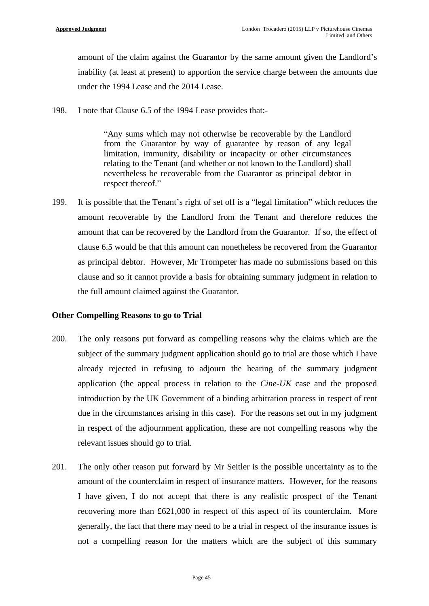amount of the claim against the Guarantor by the same amount given the Landlord's inability (at least at present) to apportion the service charge between the amounts due under the 1994 Lease and the 2014 Lease.

198. I note that Clause 6.5 of the 1994 Lease provides that:-

"Any sums which may not otherwise be recoverable by the Landlord from the Guarantor by way of guarantee by reason of any legal limitation, immunity, disability or incapacity or other circumstances relating to the Tenant (and whether or not known to the Landlord) shall nevertheless be recoverable from the Guarantor as principal debtor in respect thereof."

199. It is possible that the Tenant's right of set off is a "legal limitation" which reduces the amount recoverable by the Landlord from the Tenant and therefore reduces the amount that can be recovered by the Landlord from the Guarantor. If so, the effect of clause 6.5 would be that this amount can nonetheless be recovered from the Guarantor as principal debtor. However, Mr Trompeter has made no submissions based on this clause and so it cannot provide a basis for obtaining summary judgment in relation to the full amount claimed against the Guarantor.

## **Other Compelling Reasons to go to Trial**

- 200. The only reasons put forward as compelling reasons why the claims which are the subject of the summary judgment application should go to trial are those which I have already rejected in refusing to adjourn the hearing of the summary judgment application (the appeal process in relation to the *Cine-UK* case and the proposed introduction by the UK Government of a binding arbitration process in respect of rent due in the circumstances arising in this case). For the reasons set out in my judgment in respect of the adjournment application, these are not compelling reasons why the relevant issues should go to trial.
- 201. The only other reason put forward by Mr Seitler is the possible uncertainty as to the amount of the counterclaim in respect of insurance matters. However, for the reasons I have given, I do not accept that there is any realistic prospect of the Tenant recovering more than £621,000 in respect of this aspect of its counterclaim. More generally, the fact that there may need to be a trial in respect of the insurance issues is not a compelling reason for the matters which are the subject of this summary